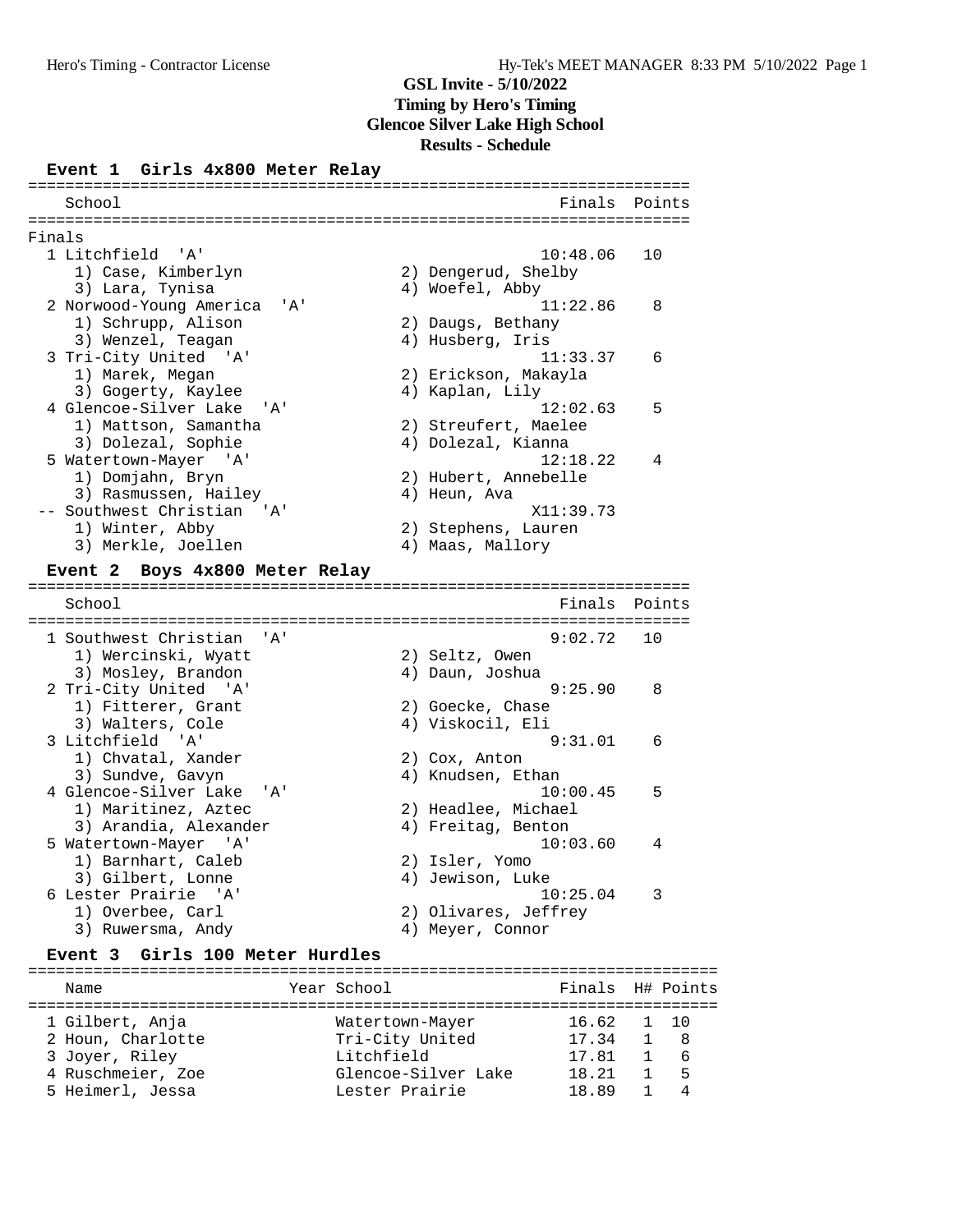#### **Event 1 Girls 4x800 Meter Relay**

| School                                                            | Finals                                                 | Points    |
|-------------------------------------------------------------------|--------------------------------------------------------|-----------|
| Finals                                                            |                                                        |           |
| 1 Litchfield 'A'<br>1) Case, Kimberlyn                            | 10:48.06<br>2) Dengerud, Shelby                        | 10        |
| 3) Lara, Tynisa<br>2 Norwood-Young America<br>' A '               | 4) Woefel, Abby<br>11:22.86                            | 8         |
| 1) Schrupp, Alison<br>3) Wenzel, Teagan                           | 2) Daugs, Bethany<br>4) Husberg, Iris                  |           |
| 3 Tri-City United 'A'<br>1) Marek, Megan                          | 11:33.37<br>2) Erickson, Makayla                       | 6         |
| 3) Gogerty, Kaylee<br>4 Glencoe-Silver Lake<br>' A '              | 4) Kaplan, Lily<br>12:02.63                            | 5         |
| 1) Mattson, Samantha<br>3) Dolezal, Sophie                        | 2) Streufert, Maelee<br>4) Dolezal, Kianna<br>12:18.22 | 4         |
| 5 Watertown-Mayer 'A'<br>1) Domjahn, Bryn<br>3) Rasmussen, Hailey | 2) Hubert, Annebelle<br>4) Heun, Ava                   |           |
| -- Southwest Christian<br>' 'A '<br>1) Winter, Abby               | X11:39.73<br>2) Stephens, Lauren                       |           |
| 3) Merkle, Joellen                                                | 4) Maas, Mallory                                       |           |
| Boys 4x800 Meter Relay<br>Event 2                                 |                                                        |           |
| School                                                            | Finals                                                 | Points    |
| 1 Southwest Christian<br>$'$ A $'$                                | 9:02.72                                                | 10        |
| 1) Wercinski, Wyatt<br>3) Mosley, Brandon                         | 2) Seltz, Owen<br>4) Daun, Joshua                      |           |
| 2 Tri-City United 'A'<br>1) Fitterer, Grant                       | 9:25.90<br>2) Goecke, Chase                            | 8         |
| 3) Walters, Cole<br>3 Litchfield 'A'                              | 4) Viskocil, Eli<br>9:31.01                            | 6         |
| 1) Chvatal, Xander<br>3) Sundve, Gavyn                            | 2) Cox, Anton<br>4) Knudsen, Ethan                     |           |
| 4 Glencoe-Silver Lake<br>'A'<br>1) Maritinez, Aztec               | 10:00.45<br>2) Headlee, Michael                        | 5         |
| 3) Arandia, Alexander<br>5 Watertown-Mayer 'A'                    | 4) Freitag, Benton<br>10:03.60                         | 4         |
| 1) Barnhart, Caleb<br>3) Gilbert, Lonne                           | 2) Isler, Yomo<br>4) Jewison, Luke                     |           |
| 6 Lester Prairie 'A'<br>1) Overbee, Carl                          | 10:25.04<br>2) Olivares, Jeffrey                       | 3         |
| 3) Ruwersma, Andy<br>Event 3 Girls 100 Meter Hurdles              | 4) Meyer, Connor                                       |           |
|                                                                   |                                                        |           |
| Year School<br>Name                                               | Finals                                                 | H# Points |
| 1 Gilbert, Anja                                                   | 16.62<br>Watertown-Mayer                               | 1<br>10   |

 2 Houn, Charlotte Tri-City United 17.34 1 8 3 Joyer, Riley Litchfield 17.81 1 6 4 Ruschmeier, Zoe Glencoe-Silver Lake 18.21 1 5 5 Heimerl, Jessa Lester Prairie 18.89 1 4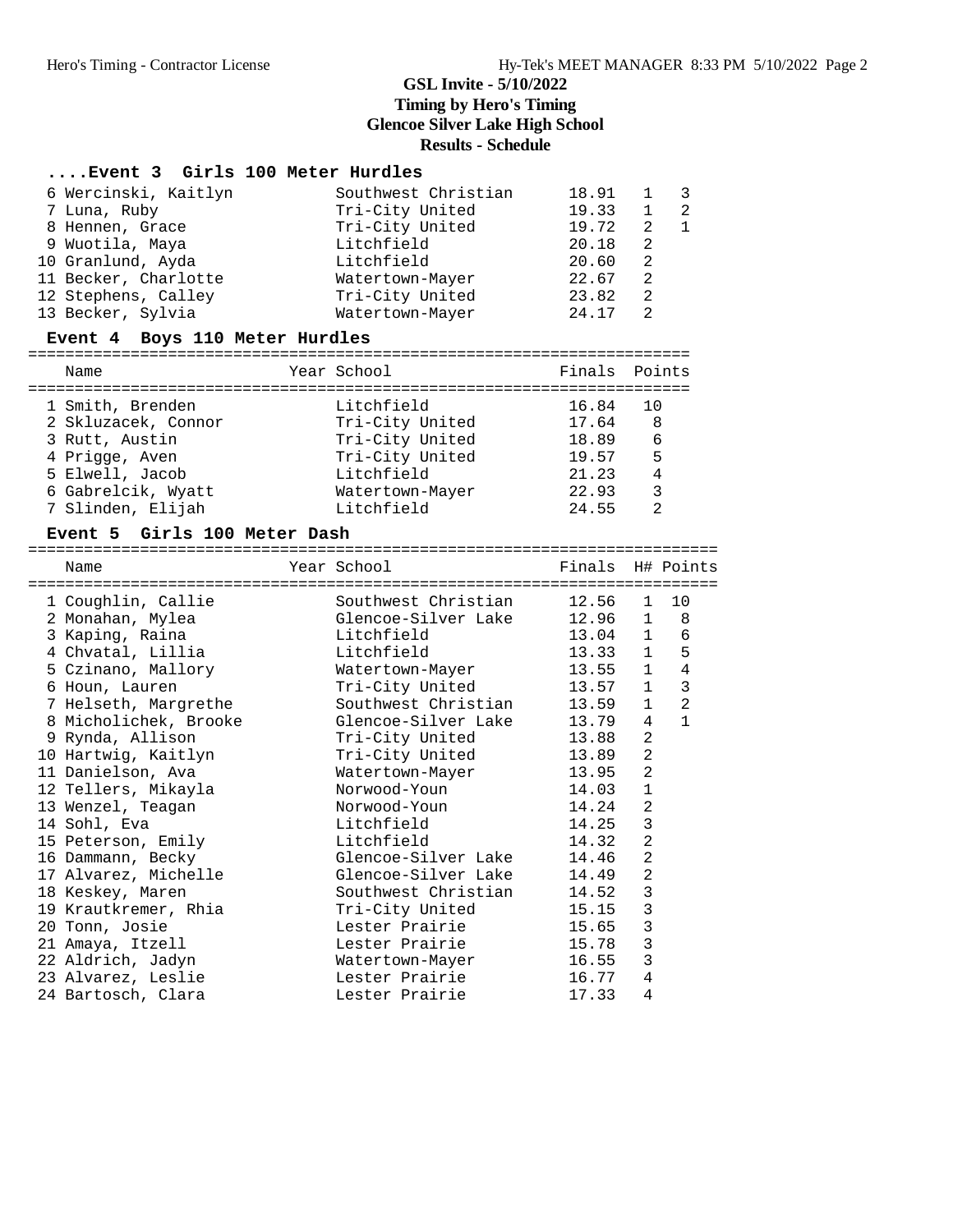#### **....Event 3 Girls 100 Meter Hurdles**

| 6 Wercinski, Kaitlyn | Southwest Christian | 18.91 |    | $\overline{\phantom{a}3}$ |
|----------------------|---------------------|-------|----|---------------------------|
| 7 Luna, Ruby         | Tri-City United     | 19.33 |    | $\overline{2}$            |
| 8 Hennen, Grace      | Tri-City United     | 19.72 | 2  | $\overline{1}$            |
| 9 Wuotila, Maya      | Litchfield          | 20.18 | 2  |                           |
| 10 Granlund, Ayda    | Litchfield          | 20.60 | 2  |                           |
| 11 Becker, Charlotte | Watertown-Mayer     | 22.67 | -2 |                           |
| 12 Stephens, Calley  | Tri-City United     | 23.82 | 2  |                           |
| 13 Becker, Sylvia    | Watertown-Mayer     | 24.17 | 2  |                           |

#### **Event 4 Boys 110 Meter Hurdles**

=======================================================================

| Name                | Year School     | Finals Points |           |
|---------------------|-----------------|---------------|-----------|
| 1 Smith, Brenden    | Litchfield      | 16.84         | <u>າດ</u> |
| 2 Skluzacek, Connor | Tri-City United | 17.64         | 8         |
| 3 Rutt, Austin      | Tri-City United | 18.89         | 6         |
| 4 Prigge, Aven      | Tri-City United | 19.57         | 5         |
| 5 Elwell, Jacob     | Litchfield      | 21.23         | 4         |
| 6 Gabrelcik, Wyatt  | Watertown-Mayer | 22.93         | 3         |
| 7 Slinden, Elijah   | Litchfield      | 24.55         |           |

#### **Event 5 Girls 100 Meter Dash**

========================================================================== Name The Year School The Points H# Points ========================================================================== 1 Coughlin, Callie Southwest Christian 12.56 1 10 2 Monahan, Mylea Glencoe-Silver Lake 12.96 1 8 3 Kaping, Raina Litchfield 13.04 1 6 4 Chvatal, Lillia Litchfield 13.33 1 5 5 Czinano, Mallory Watertown-Mayer 13.55 1 4 6 Houn, Lauren Tri-City United 13.57 1 3 7 Helseth, Margrethe Southwest Christian 13.59 1 2 8 Micholichek, Brooke Glencoe-Silver Lake 13.79 4 1 9 Rynda, Allison Tri-City United 13.88 2 10 Hartwig, Kaitlyn Tri-City United 13.89 2 11 Danielson, Ava Watertown-Mayer 13.95 2 12 Tellers, Mikayla Norwood-Youn 14.03 1 13 Wenzel, Teagan Norwood-Youn 14.24 2 14 Sohl, Eva Litchfield 14.25 3 15 Peterson, Emily **15 Litchfield** 14.32 2 16 Dammann, Becky Glencoe-Silver Lake 14.46 2 17 Alvarez, Michelle Glencoe-Silver Lake 14.49 2 18 Keskey, Maren Southwest Christian 14.52 3 19 Krautkremer, Rhia Tri-City United 15.15 3 20 Tonn, Josie Lester Prairie 15.65 3 21 Amaya, Itzell Lester Prairie 15.78 3 22 Aldrich, Jadyn Watertown-Mayer 16.55 3 23 Alvarez, Leslie Lester Prairie 16.77 4 24 Bartosch, Clara Lester Prairie 17.33 4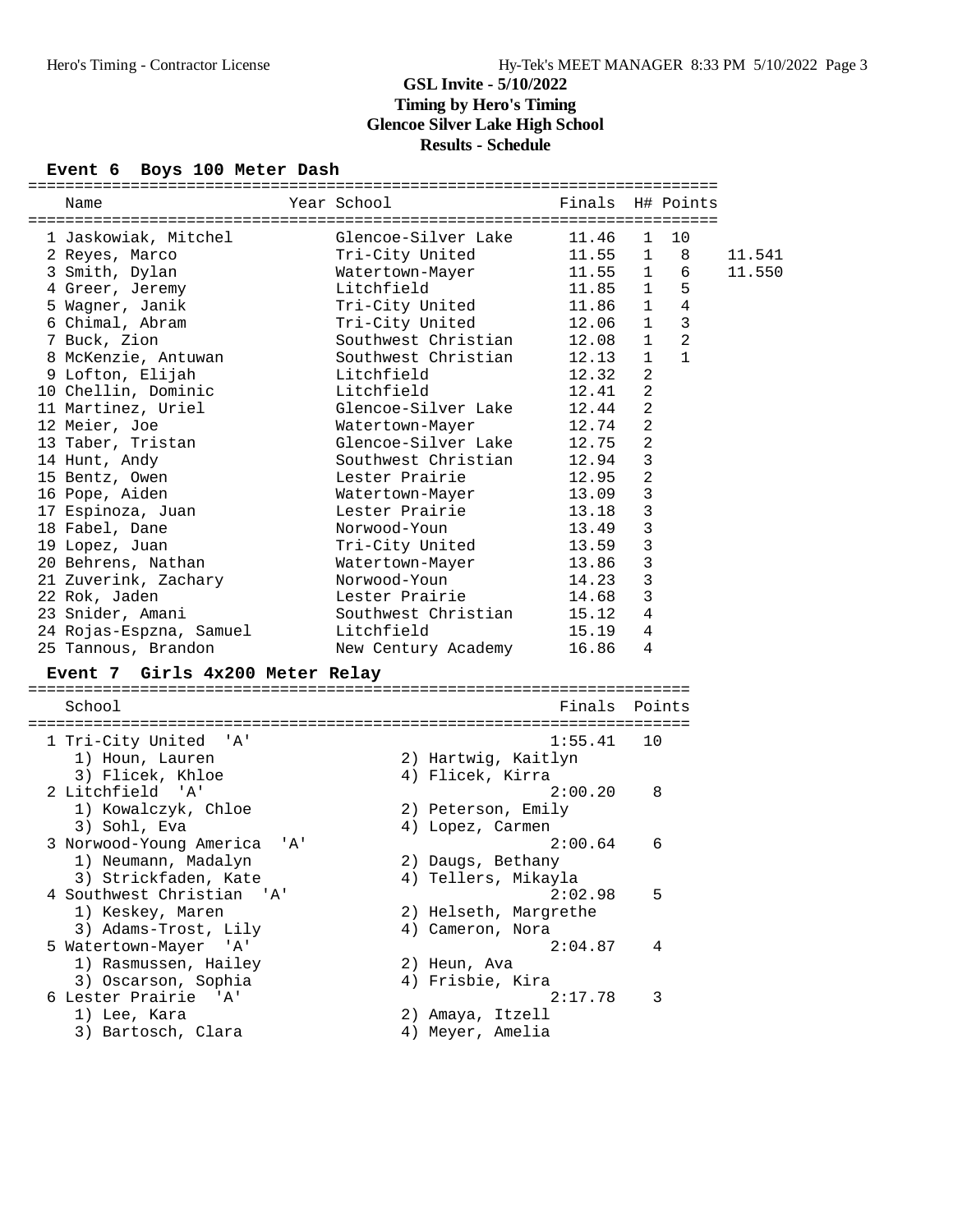### **Event 6 Boys 100 Meter Dash**

| Name                               | Year School                          | Finals H# Points |                                     |                |        |
|------------------------------------|--------------------------------------|------------------|-------------------------------------|----------------|--------|
|                                    |                                      |                  |                                     |                |        |
| 1 Jaskowiak, Mitchel               | Glencoe-Silver Lake                  | 11.46            | 10<br>$\mathbf{1}$                  |                |        |
| 2 Reyes, Marco                     | Tri-City United                      | 11.55            | $\mathbf{1}$                        | 8              | 11.541 |
| 3 Smith, Dylan                     | Watertown-Mayer                      | 11.55            | 1                                   | 6              | 11.550 |
| 4 Greer, Jeremy                    | Litchfield                           | 11.85            | $\mathbf{1}$                        | 5              |        |
| 5 Wagner, Janik                    | Tri-City United                      | 11.86            | $\mathbf{1}$                        | $\overline{4}$ |        |
| 6 Chimal, Abram                    | Tri-City United                      | 12.06            | $\overline{\mathbf{3}}$<br>$\sim$ 1 |                |        |
| 7 Buck, Zion                       | Southwest Christian                  | 12.08            | $\mathbf{1}$                        | 2              |        |
| 8 McKenzie, Antuwan                | Southwest Christian                  | 12.13            | $\mathbf{1}$                        | 1              |        |
| 9 Lofton, Elijah                   | Litchfield                           | 12.32            | 2                                   |                |        |
| 10 Chellin, Dominic                | Litchfield                           | 12.41            | $\overline{2}$                      |                |        |
| 11 Martinez, Uriel                 | Glencoe-Silver Lake                  | 12.44            | $\overline{2}$                      |                |        |
| 12 Meier, Joe                      | Watertown-Mayer                      | 12.74            | $\overline{2}$                      |                |        |
| 13 Taber, Tristan                  | Glencoe-Silver Lake                  | 12.75            | $\overline{2}$                      |                |        |
| 14 Hunt, Andy                      | Southwest Christian                  | 12.94            | 3                                   |                |        |
| 15 Bentz, Owen                     | Lester Prairie                       | 12.95            | $\overline{a}$                      |                |        |
| 16 Pope, Aiden                     | Watertown-Mayer                      | 13.09            | $\mathsf 3$                         |                |        |
| 17 Espinoza, Juan                  | Lester Prairie                       | 13.18            | $\mathbf{3}$                        |                |        |
| 18 Fabel, Dane                     | Norwood-Youn                         | 13.49            | $\mathbf{3}$                        |                |        |
| 19 Lopez, Juan                     | Tri-City United                      | 13.59            | 3                                   |                |        |
| 20 Behrens, Nathan                 | Watertown-Mayer                      | 13.86            | 3                                   |                |        |
| 21 Zuverink, Zachary               | Norwood-Youn                         | 14.23            | $\mathbf{3}$                        |                |        |
| 22 Rok, Jaden                      | Lester Prairie                       | 14.68            | $\mathbf{3}$                        |                |        |
| 23 Snider, Amani                   | Southwest Christian                  | 15.12            | 4                                   |                |        |
| 24 Rojas-Espzna, Samuel            | Litchfield                           | 15.19            | $\overline{4}$                      |                |        |
| 25 Tannous, Brandon                | New Century Academy                  | 16.86            | 4                                   |                |        |
| Event 7 Girls 4x200 Meter Relay    |                                      |                  |                                     |                |        |
|                                    |                                      |                  |                                     |                |        |
| School                             |                                      | Finals Points    |                                     |                |        |
|                                    |                                      |                  |                                     |                |        |
| 1 Tri-City United<br>'' A '        |                                      | 1:55.41          | 10                                  |                |        |
| 1) Houn, Lauren                    | 2) Hartwig, Kaitlyn                  |                  |                                     |                |        |
| 3) Flicek, Khloe                   | 4) Flicek, Kirra                     |                  |                                     |                |        |
| 2 Litchfield 'A'                   |                                      | 2:00.20          | 8                                   |                |        |
| 1) Kowalczyk, Chloe                | 2) Peterson, Emily                   |                  |                                     |                |        |
|                                    |                                      |                  |                                     |                |        |
|                                    |                                      |                  |                                     |                |        |
| 3) Sohl, Eva<br>' A '              | 4) Lopez, Carmen                     | 2:00.64          |                                     |                |        |
| 3 Norwood-Young America            |                                      |                  | 6                                   |                |        |
| 1) Neumann, Madalyn                | 2) Daugs, Bethany                    |                  |                                     |                |        |
| 3) Strickfaden, Kate               | 4) Tellers, Mikayla                  |                  |                                     |                |        |
| 4 Southwest Christian 'A'          |                                      | 2:02.98          | 5                                   |                |        |
| 1) Keskey, Maren                   | 2) Helseth, Margrethe                |                  |                                     |                |        |
| 3) Adams-Trost, Lily               | 4) Cameron, Nora                     |                  |                                     |                |        |
| 5 Watertown-Mayer 'A'              |                                      | 2:04.87          | 4                                   |                |        |
| 1) Rasmussen, Hailey               | 2) Heun, Ava                         |                  |                                     |                |        |
| 3) Oscarson, Sophia                | 4) Frisbie, Kira                     |                  |                                     |                |        |
| 6 Lester Prairie 'A'               |                                      | 2:17.78          | 3                                   |                |        |
| 1) Lee, Kara<br>3) Bartosch, Clara | 2) Amaya, Itzell<br>4) Meyer, Amelia |                  |                                     |                |        |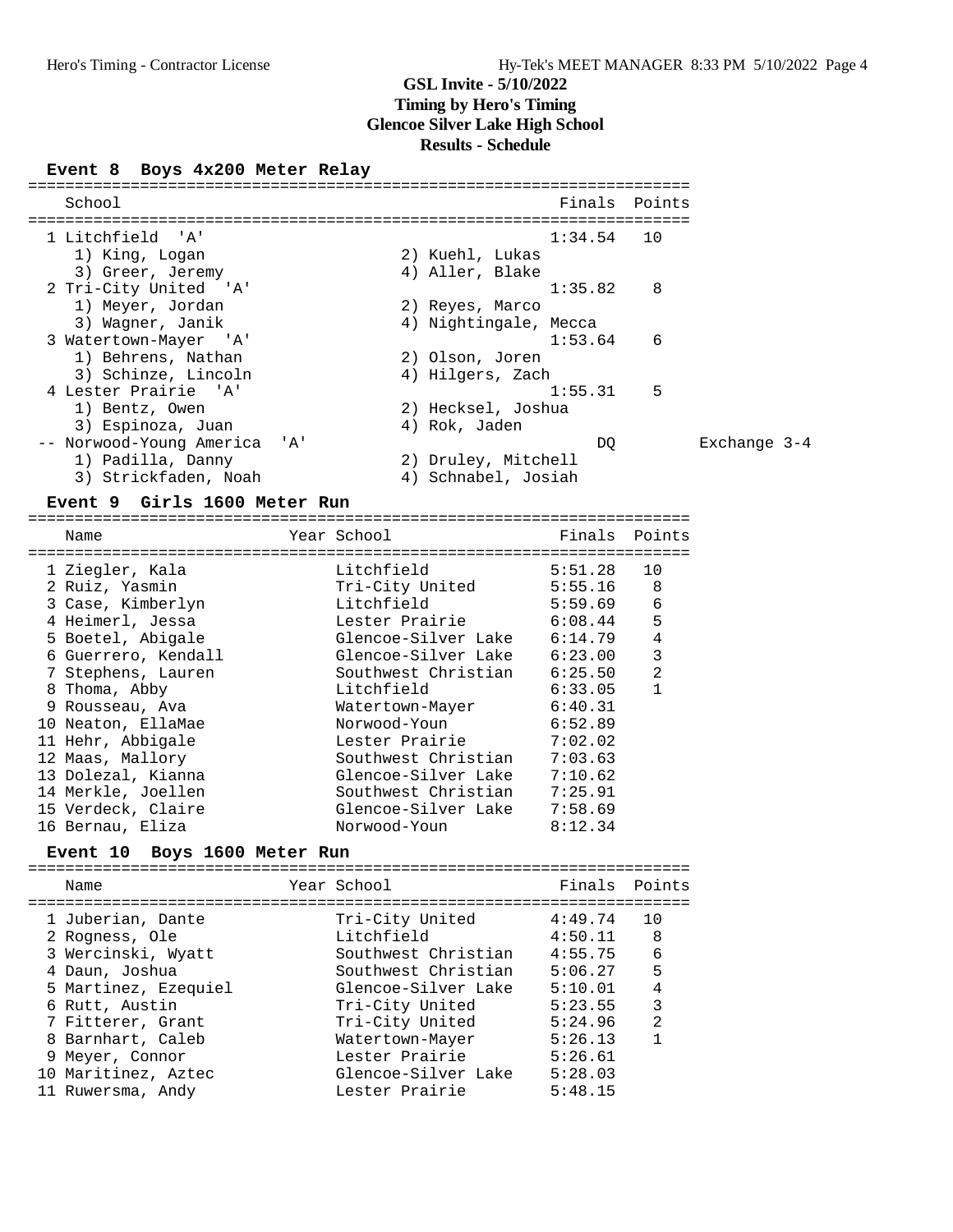### **Event 8 Boys 4x200 Meter Relay**

| School                |                              | Finals Points         |   |                |
|-----------------------|------------------------------|-----------------------|---|----------------|
| 1 Litchfield 'A'      |                              | $1:34.54$ 10          |   |                |
| 1) King, Logan        |                              | 2) Kuehl, Lukas       |   |                |
| 3) Greer, Jeremy      |                              | 4) Aller, Blake       |   |                |
| 2 Tri-City United 'A' |                              | 1:35.82               | 8 |                |
| 1) Meyer, Jordan      |                              | 2) Reyes, Marco       |   |                |
| 3) Wagner, Janik      |                              | 4) Nightingale, Mecca |   |                |
| 3 Watertown-Mayer 'A' |                              | 1:53.64               | 6 |                |
| 1) Behrens, Nathan    |                              | 2) Olson, Joren       |   |                |
| 3) Schinze, Lincoln   |                              | 4) Hilgers, Zach      |   |                |
| 4 Lester Prairie 'A'  |                              | 1:55.31               | 5 |                |
| 1) Bentz, Owen        |                              | 2) Hecksel, Joshua    |   |                |
| 3) Espinoza, Juan     |                              | 4) Rok, Jaden         |   |                |
|                       | -- Norwood-Young America 'A' | DQ                    |   | Exchange $3-4$ |
| 1) Padilla, Danny     |                              | 2) Druley, Mitchell   |   |                |
|                       | 3) Strickfaden, Noah         | 4) Schnabel, Josiah   |   |                |

### **Event 9 Girls 1600 Meter Run**

| Name                | Year School         | Finals  | Points         |
|---------------------|---------------------|---------|----------------|
| 1 Ziegler, Kala     | Litchfield          | 5:51.28 | 10             |
| 2 Ruiz, Yasmin      | Tri-City United     | 5:55.16 | 8              |
| 3 Case, Kimberlyn   | Litchfield          | 5:59.69 | 6              |
| 4 Heimerl, Jessa    | Lester Prairie      | 6:08.44 | 5              |
| 5 Boetel, Abigale   | Glencoe-Silver Lake | 6:14.79 | 4              |
| 6 Guerrero, Kendall | Glencoe-Silver Lake | 6:23.00 | 3              |
| 7 Stephens, Lauren  | Southwest Christian | 6:25.50 | $\mathfrak{D}$ |
| 8 Thoma, Abby       | Litchfield          | 6:33.05 |                |
| 9 Rousseau, Ava     | Watertown-Mayer     | 6:40.31 |                |
| 10 Neaton, EllaMae  | Norwood-Youn        | 6:52.89 |                |
| 11 Hehr, Abbigale   | Lester Prairie      | 7:02.02 |                |
| 12 Maas, Mallory    | Southwest Christian | 7:03.63 |                |
| 13 Dolezal, Kianna  | Glencoe-Silver Lake | 7:10.62 |                |
| 14 Merkle, Joellen  | Southwest Christian | 7:25.91 |                |
| 15 Verdeck, Claire  | Glencoe-Silver Lake | 7:58.69 |                |
| 16 Bernau, Eliza    | Norwood-Youn        | 8:12.34 |                |

**Event 10 Boys 1600 Meter Run** =======================================================================

|  | Name                 | Year School         | Finals  | Points |
|--|----------------------|---------------------|---------|--------|
|  | 1 Juberian, Dante    | Tri-City United     | 4:49.74 | 10     |
|  | 2 Rogness, Ole       | Litchfield          | 4:50.11 | 8      |
|  | 3 Wercinski, Wyatt   | Southwest Christian | 4:55.75 | 6      |
|  | 4 Daun, Joshua       | Southwest Christian | 5:06.27 | 5      |
|  | 5 Martinez, Ezequiel | Glencoe-Silver Lake | 5:10.01 | 4      |
|  | 6 Rutt, Austin       | Tri-City United     | 5:23.55 | 3      |
|  | 7 Fitterer, Grant    | Tri-City United     | 5:24.96 | 2      |
|  | 8 Barnhart, Caleb    | Watertown-Mayer     | 5:26.13 | 1      |
|  | 9 Meyer, Connor      | Lester Prairie      | 5:26.61 |        |
|  | 10 Maritinez, Aztec  | Glencoe-Silver Lake | 5:28.03 |        |
|  | 11 Ruwersma, Andy    | Lester Prairie      | 5:48.15 |        |
|  |                      |                     |         |        |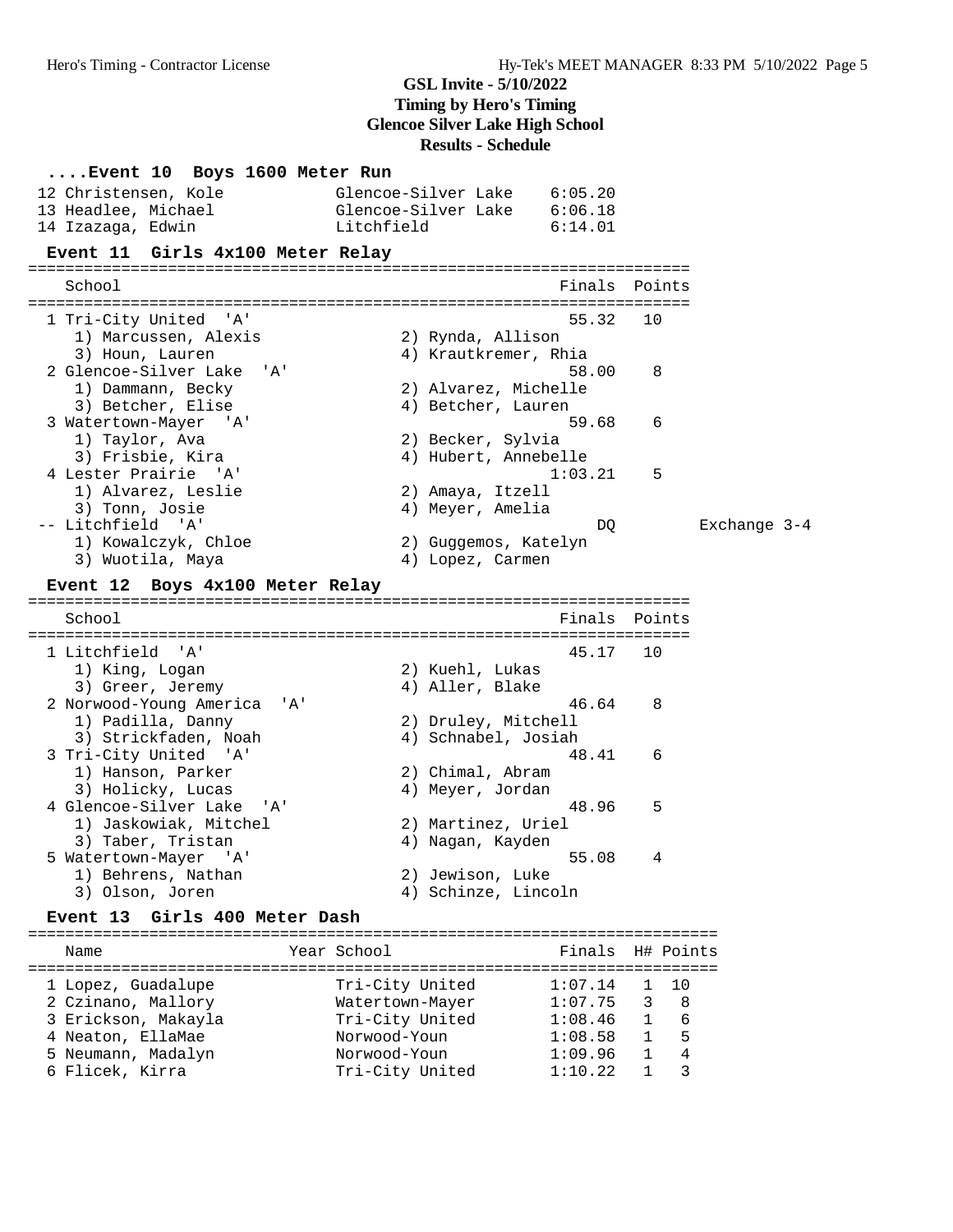**....Event 10 Boys 1600 Meter Run** 12 Christensen, Kole Glencoe-Silver Lake 6:05.20 13 Headlee, Michael Glencoe-Silver Lake 6:06.18 14 Izazaga, Edwin Litchfield 6:14.01 **Event 11 Girls 4x100 Meter Relay** ======================================================================= School **Finals Points** ======================================================================= 1 Tri-City United 'A' 55.32 10 1) Marcussen, Alexis 2) Rynda, Allison 3) Houn, Lauren 1988 (2008) Manuel Maria (2018) Krautkremer, Rhia 2 Glencoe-Silver Lake 'A' 58.00 8<br>
1) Dammann, Becky 2) Alvarez, Michelle<br>
3) Betcher, Elise 4) Betcher, Lauren 1) Dammann, Becky 2) Alvarez, Michelle 3) Betcher, Elise (4) Betcher, Lauren 3 Watertown-Mayer 'A' 59.68 6 1) Taylor, Ava 2) Becker, Sylvia 3) Frisbie, Kira (1988) 4) Hubert, Annebelle 4 Lester Prairie 'A' 1:03.21 5 1) Alvarez, Leslie 2) Amaya, Itzell 3) Tonn, Josie 4) Meyer, Amelia -- Litchfield 'A' DQ Exchange 3-4 1) Kowalczyk, Chloe 2) Guggemos, Katelyn 3) Wuotila, Maya (4) Lopez, Carmen **Event 12 Boys 4x100 Meter Relay** ======================================================================= School **Finals Points** ======================================================================= 1 Litchfield 'A' 45.17 10 1) King, Logan 2) Kuehl, Lukas 3) Greer, Jeremy (4) Aller, Blake 2 Norwood-Young America 'A' 46.64 8 1) Padilla, Danny 2) Druley, Mitchell 3) Strickfaden, Noah 4) Schnabel, Josiah 3 Tri-City United 'A' 48.41 6 1) Hanson, Parker 2) Chimal, Abram 3) Holicky, Lucas 4) Meyer, Jordan 4 Glencoe-Silver Lake 'A' 48.96 5 1) Jaskowiak, Mitchel 2) Martinez, Uriel 3) Taber, Tristan (4) Nagan, Kayden 5 Watertown-Mayer 'A' 55.08 4 1) Behrens, Nathan 2) Jewison, Luke 3) Olson, Joren 4) Schinze, Lincoln **Event 13 Girls 400 Meter Dash** ========================================================================== Name The Year School The Finals H# Points ========================================================================== 1 Lopez, Guadalupe Tri-City United 1:07.14 1 10 2 Czinano, Mallory Watertown-Mayer 1:07.75 3 8 3 Erickson, Makayla Tri-City United 1:08.46 1 6 4 Neaton, EllaMae Norwood-Youn 1:08.58 1 5 5 Neumann, Madalyn Norwood-Youn 1:09.96 1 4 6 Flicek, Kirra Tri-City United 1:10.22 1 3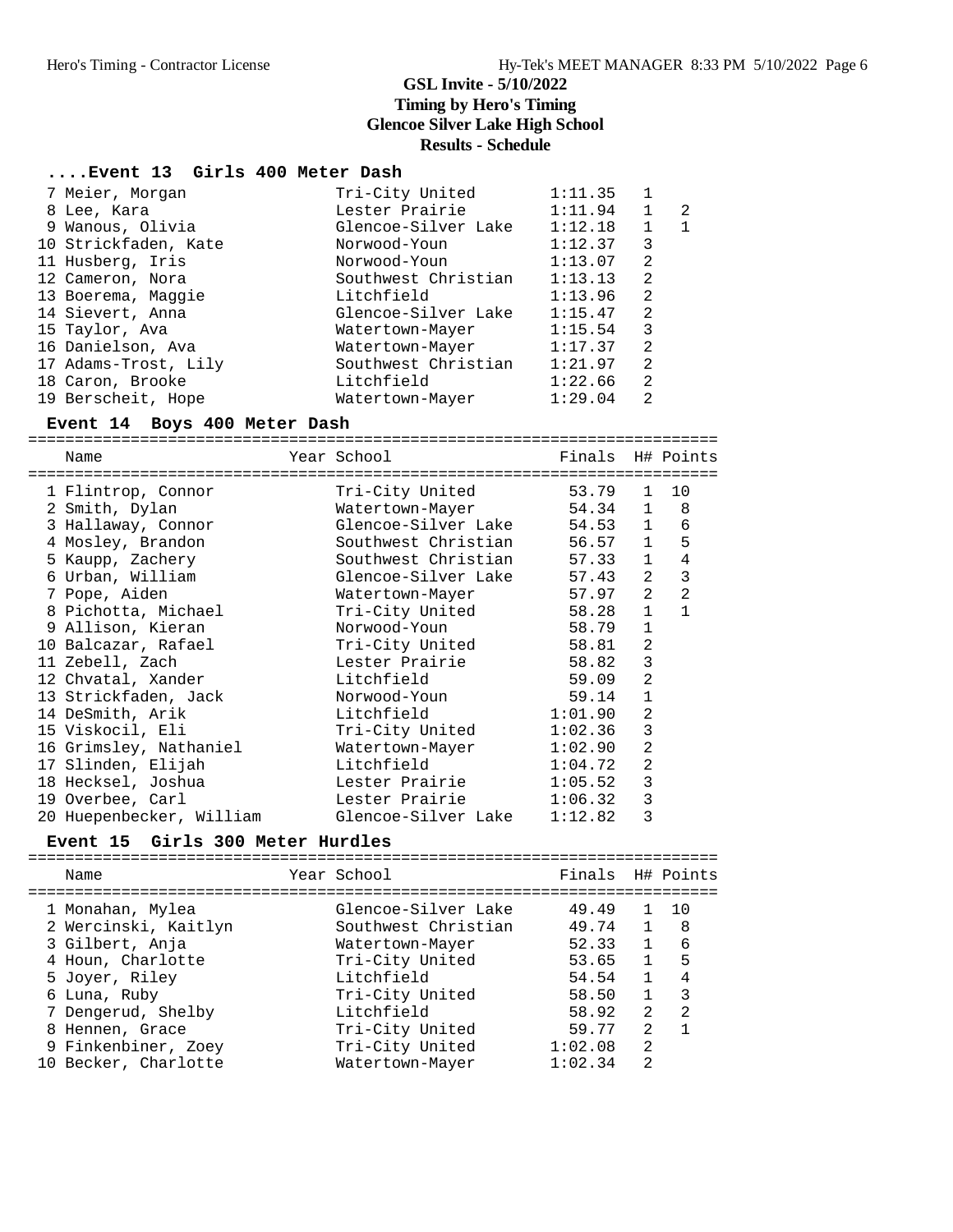### **....Event 13 Girls 400 Meter Dash**

| 7 Meier, Morgan      | Tri-City United     | 1:11.35 |                |              |
|----------------------|---------------------|---------|----------------|--------------|
| 8 Lee, Kara          | Lester Prairie      | 1:11.94 | $\mathbf{1}$   | -2           |
| 9 Wanous, Olivia     | Glencoe-Silver Lake | 1:12.18 | $\mathbf{1}$   | $\mathbf{1}$ |
| 10 Strickfaden, Kate | Norwood-Youn        | 1:12.37 | 3              |              |
| 11 Husberg, Iris     | Norwood-Youn        | 1:13.07 | 2              |              |
| 12 Cameron, Nora     | Southwest Christian | 1:13.13 | 2              |              |
| 13 Boerema, Maggie   | Litchfield          | 1:13.96 | 2              |              |
| 14 Sievert, Anna     | Glencoe-Silver Lake | 1:15.47 | 2              |              |
| 15 Taylor, Ava       | Watertown-Mayer     | 1:15.54 | 3              |              |
| 16 Danielson, Ava    | Watertown-Mayer     | 1:17.37 | $\mathfrak{D}$ |              |
| 17 Adams-Trost, Lily | Southwest Christian | 1:21.97 | 2              |              |
| 18 Caron, Brooke     | Litchfield          | 1:22.66 | 2              |              |
| 19 Berscheit, Hope   | Watertown-Mayer     | 1:29.04 | 2              |              |
|                      |                     |         |                |              |

### **Event 14 Boys 400 Meter Dash**

==========================================================================

| Name                     | Year School         | Finals H# Points |                |              |
|--------------------------|---------------------|------------------|----------------|--------------|
| 1 Flintrop, Connor       | Tri-City United     | 53.79            | $\mathbf{1}$   | 10           |
| 2 Smith, Dylan           | Watertown-Mayer     | 54.34 1          |                | 8            |
| 3 Hallaway, Connor       | Glencoe-Silver Lake | 54.53 1          |                | 6            |
| 4 Mosley, Brandon        | Southwest Christian | 56.57 1          |                | 5            |
| 5 Kaupp, Zachery         | Southwest Christian | 57.33            | $\mathbf{1}$   | 4            |
| 6 Urban, William         | Glencoe-Silver Lake | 57.43            | $\overline{a}$ | 3            |
| 7 Pope, Aiden            | Watertown-Mayer     | 57.97            | 2              | 2            |
| 8 Pichotta, Michael      | Tri-City United     | 58.28 1          |                | $\mathbf{1}$ |
| 9 Allison, Kieran        | Norwood-Youn        | 58.79            | $\mathbf{1}$   |              |
| 10 Balcazar, Rafael      | Tri-City United     | 58.81            | 2              |              |
| 11 Zebell, Zach          | Lester Prairie      | 58.82            | 3              |              |
| 12 Chvatal, Xander       | Litchfield          | 59.09            | 2              |              |
| 13 Strickfaden, Jack     | Norwood-Youn        | 59.14            | $\mathbf{1}$   |              |
| 14 DeSmith, Arik         | Litchfield          | 1:01.90          | 2              |              |
| 15 Viskocil, Eli         | Tri-City United     | 1:02.36          | 3              |              |
| 16 Grimsley, Nathaniel   | Watertown-Mayer     | 1:02.90          | 2              |              |
| 17 Slinden, Elijah       | Litchfield          | 1:04.72          | 2              |              |
| 18 Hecksel, Joshua       | Lester Prairie      | 1:05.52          | 3              |              |
| 19 Overbee, Carl         | Lester Prairie      | 1:06.32          | 3              |              |
| 20 Huepenbecker, William | Glencoe-Silver Lake | 1:12.82          | 3              |              |

#### **Event 15 Girls 300 Meter Hurdles**

==========================================================================

| Name                 | Year School         | Finals H# Points |                |    |
|----------------------|---------------------|------------------|----------------|----|
| 1 Monahan, Mylea     | Glencoe-Silver Lake | 49.49            |                | 10 |
| 2 Wercinski, Kaitlyn | Southwest Christian | 49.74            |                | -8 |
| 3 Gilbert, Anja      | Watertown-Mayer     | 52.33            |                | 6  |
| 4 Houn, Charlotte    | Tri-City United     | 53.65            |                | 5  |
| 5 Joyer, Riley       | Litchfield          | 54.54            |                | 4  |
| 6 Luna, Ruby         | Tri-City United     | 58.50            |                | 3  |
| 7 Dengerud, Shelby   | Litchfield          | 58.92            | 2              | 2  |
| 8 Hennen, Grace      | Tri-City United     | 59.77            | $\mathfrak{D}$ |    |
| 9 Finkenbiner, Zoey  | Tri-City United     | 1:02.08          | 2              |    |
| 10 Becker, Charlotte | Watertown-Mayer     | 1:02.34          | $\mathfrak{D}$ |    |
|                      |                     |                  |                |    |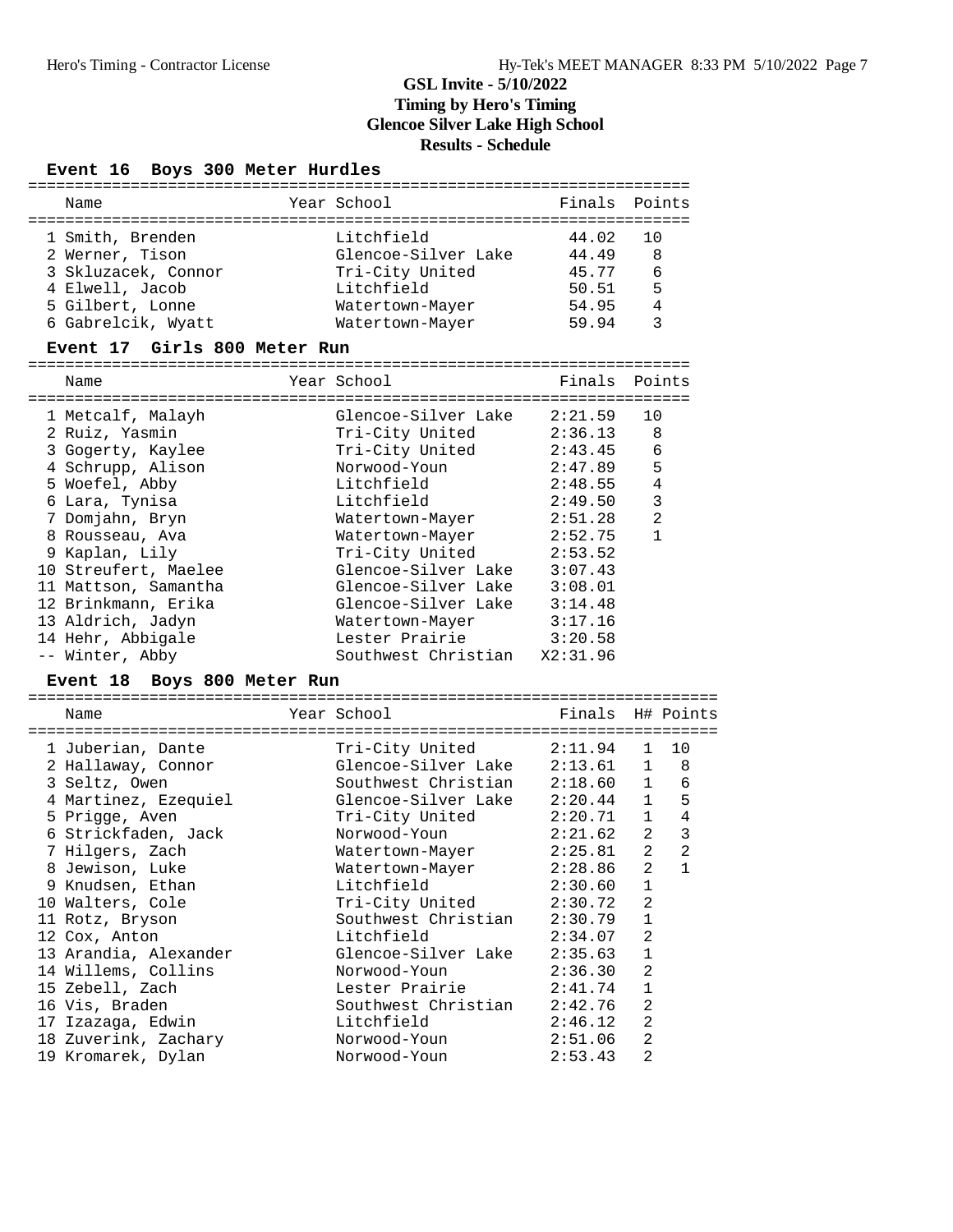### **Event 16 Boys 300 Meter Hurdles**

| Name                |  | Year School         | Finals Points |     |  |  |  |  |
|---------------------|--|---------------------|---------------|-----|--|--|--|--|
|                     |  |                     |               |     |  |  |  |  |
| 1 Smith, Brenden    |  | Litchfield          | 44.02         | 1 O |  |  |  |  |
| 2 Werner, Tison     |  | Glencoe-Silver Lake | 44.49         | 8   |  |  |  |  |
| 3 Skluzacek, Connor |  | Tri-City United     | 45.77         | 6   |  |  |  |  |
| 4 Elwell, Jacob     |  | Litchfield          | 50.51         | 5   |  |  |  |  |
| 5 Gilbert, Lonne    |  | Watertown-Mayer     | 54.95         | 4   |  |  |  |  |
| 6 Gabrelcik, Wyatt  |  | Watertown-Mayer     | 59.94         | ર   |  |  |  |  |

#### **Event 17 Girls 800 Meter Run**

=======================================================================

| 1 Metcalf, Malayh    | Glencoe-Silver Lake     | 2:21.59  | 10           |
|----------------------|-------------------------|----------|--------------|
| 2 Ruiz, Yasmin       | Tri-City United         | 2:36.13  | 8            |
| 3 Gogerty, Kaylee    | Tri-City United         | 2:43.45  | 6            |
| 4 Schrupp, Alison    | Norwood-Youn            | 2:47.89  | 5            |
| 5 Woefel, Abby       | Litchfield              | 2:48.55  | 4            |
| 6 Lara, Tynisa       | Litchfield              | 2:49.50  | 3            |
| 7 Domjahn, Bryn      | Watertown-Mayer         | 2:51.28  | 2            |
| 8 Rousseau, Ava      | Watertown-Mayer         | 2:52.75  | $\mathbf{1}$ |
| 9 Kaplan, Lily       | Tri-City United 2:53.52 |          |              |
| 10 Streufert, Maelee | Glencoe-Silver Lake     | 3:07.43  |              |
| 11 Mattson, Samantha | Glencoe-Silver Lake     | 3:08.01  |              |
| 12 Brinkmann, Erika  | Glencoe-Silver Lake     | 3:14.48  |              |
| 13 Aldrich, Jadyn    | Watertown-Mayer         | 3:17.16  |              |
| 14 Hehr, Abbigale    | Lester Prairie          | 3:20.58  |              |
| -- Winter, Abby      | Southwest Christian     | X2:31.96 |              |
|                      |                         |          |              |

### **Event 18 Boys 800 Meter Run**

| ------------                              |                                           |                  |                |              |
|-------------------------------------------|-------------------------------------------|------------------|----------------|--------------|
| Name                                      | Year School                               | Finals H# Points |                |              |
| --------------------<br>1 Juberian, Dante | =====================<br>Tri-City United  | 2:11.94 1 10     |                |              |
| 2 Hallaway, Connor                        | Glencoe-Silver Lake     2:13.61    1    8 |                  |                |              |
| 3 Seltz, Owen                             | Southwest Christian                       | $2:18.60$ 1      |                | 6            |
| 4 Martinez, Ezequiel                      | Glencoe-Silver Lake                       | $2:20.44$ 1      |                | 5            |
| 5 Prigge, Aven                            | Tri-City United                           | 2:20.71 1        |                | $\bf 4$      |
| 6 Strickfaden, Jack                       | Norwood-Youn                              | 2:21.62          | $\overline{a}$ | 3            |
| 7 Hilgers, Zach                           | Watertown-Mayer                           | 2:25.81          | $\overline{a}$ | 2            |
| 8 Jewison, Luke                           | Watertown-Mayer                           | 2:28.86          | $\overline{a}$ | $\mathbf{1}$ |
| 9 Knudsen, Ethan                          | Litchfield Diagnos                        | 2:30.60          | $\mathbf{1}$   |              |
| 10 Walters, Cole                          | Tri-City United                           | 2:30.72          | $\overline{2}$ |              |
| 11 Rotz, Bryson                           | Southwest Christian                       | 2:30.79          | $\mathbf 1$    |              |
| 12 Cox, Anton                             | Litchfield                                | 2:34.07          | $\overline{2}$ |              |
| 13 Arandia, Alexander                     | Glencoe-Silver Lake                       | 2:35.63          | $\mathbf{1}$   |              |
| 14 Willems, Collins                       | Norwood-Youn                              | 2:36.30          | 2              |              |
| 15 Zebell, Zach                           | Lester Prairie                            | 2:41.74          | $\mathbf{1}$   |              |
| 16 Vis, Braden                            | Southwest Christian                       | 2:42.76          | $\overline{2}$ |              |
| 17 Izazaga, Edwin                         | Litchfield                                | 2:46.12          | $\overline{2}$ |              |
| 18 Zuverink, Zachary                      | Norwood-Youn                              | 2:51.06          | $\overline{2}$ |              |
| 19 Kromarek, Dylan                        | Norwood-Youn                              | 2:53.43          | $\overline{2}$ |              |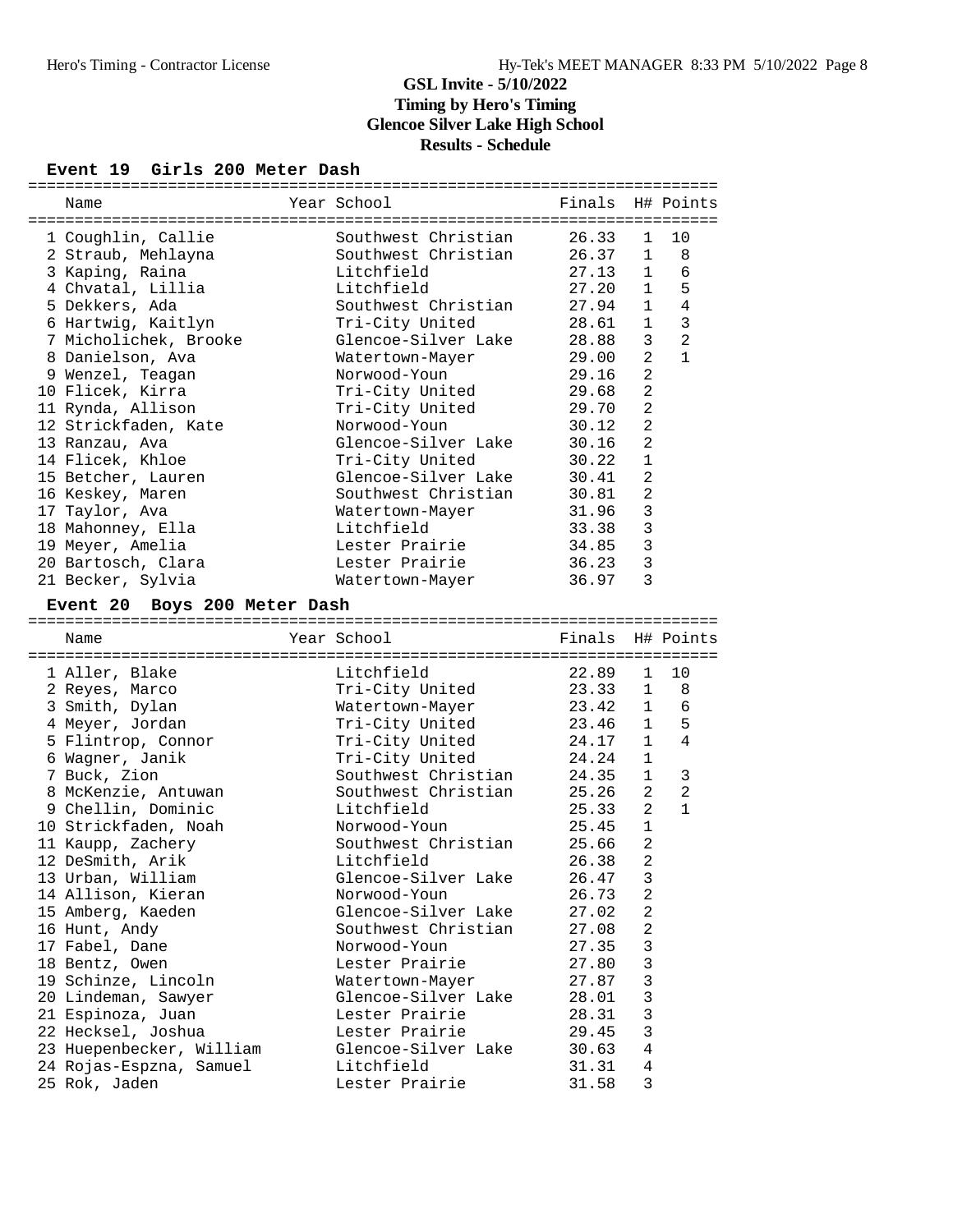### **Event 19 Girls 200 Meter Dash**

| Year School<br>Finals H# Points<br>Name<br>26.33<br>1 Coughlin, Callie<br>Southwest Christian<br>10<br>$\mathbf{1}$<br>Southwest Christian 26.37 1<br>2 Straub, Mehlayna<br>8<br>3 Kaping, Raina<br>Litchfield<br>27.13<br>$\mathbf{1}$<br>6<br>4 Chvatal, Lillia<br>27.20<br>5<br>Litchfield<br>$\mathbf{1}$<br>5 Dekkers, Ada<br>Southwest Christian<br>27.94<br>1<br>4<br>$\mathbf{3}$<br>Tri-City United<br>6 Hartwig, Kaitlyn<br>28.61<br>1<br>2<br>7 Micholichek, Brooke<br>Glencoe-Silver Lake<br>28.88<br>3<br>$\mathbf{1}$<br>$\overline{2}$<br>8 Danielson, Ava<br>29.00<br>Watertown-Mayer<br>$\overline{a}$<br>29.16<br>9 Wenzel, Teagan<br>Norwood-Youn<br>$\overline{a}$<br>10 Flicek, Kirra<br>Tri-City United<br>29.68<br>Tri-City United<br>2<br>11 Rynda, Allison<br>29.70<br>2<br>12 Strickfaden, Kate<br>Norwood-Youn<br>30.12<br>2<br>Glencoe-Silver Lake<br>30.16<br>13 Ranzau, Ava<br>$\mathbf{1}$<br>14 Flicek, Khloe<br>Tri-City United<br>30.22<br>2<br>Glencoe-Silver Lake<br>15 Betcher, Lauren<br>30.41<br>16 Keskey, Maren<br>Southwest Christian<br>$\overline{a}$<br>30.81<br>3<br>17 Taylor, Ava<br>31.96<br>Watertown-Mayer<br>3<br>18 Mahonney, Ella<br>Litchfield<br>33.38<br>3<br>19 Meyer, Amelia<br>Lester Prairie<br>34.85<br>$\mathbf{3}$<br>20 Bartosch, Clara<br>Lester Prairie<br>36.23<br>21 Becker, Sylvia<br>3<br>36.97<br>Watertown-Mayer<br>Event 20 Boys 200 Meter Dash<br>Year School<br>Finals H# Points<br>Name<br>1 Aller, Blake<br>Litchfield<br>22.89<br>10<br>1<br>23.33 1<br>Tri-City United<br>2 Reyes, Marco<br>8<br>23.42<br>3 Smith, Dylan<br>Watertown-Mayer<br>1<br>6<br>Tri-City United<br>5<br>4 Meyer, Jordan<br>23.46<br>1<br>4<br>Tri-City United<br>5 Flintrop, Connor<br>24.17<br>$\mathbf{1}$<br>Tri-City United<br>$\mathbf{1}$<br>6 Wagner, Janik<br>24.24<br>Southwest Christian<br>1<br>7 Buck, Zion<br>24.35<br>3<br>Southwest Christian<br>$\overline{a}$<br>2<br>8 McKenzie, Antuwan<br>25.26<br>$\overline{2}$<br>$\mathbf{1}$<br>9 Chellin, Dominic<br>Litchfield<br>25.33<br>25.45<br>10 Strickfaden, Noah<br>Norwood-Youn<br>$\mathbf{1}$<br>25.66<br>2<br>Southwest Christian<br>11 Kaupp, Zachery<br>$\overline{a}$<br>26.38<br>12 DeSmith, Arik<br>Litchfield<br>26.47 3<br>13 Urban, William<br>Glencoe-Silver Lake<br>14 Allison, Kieran<br>26.73<br>Norwood-Youn<br>2<br>15 Amberg, Kaeden<br>Glencoe-Silver Lake<br>27.02<br>2<br>16 Hunt, Andy<br>Southwest Christian<br>27.08<br>2<br>3<br>Norwood-Youn<br>27.35<br>17 Fabel, Dane<br>3<br>18 Bentz, Owen<br>Lester Prairie<br>27.80<br>3<br>19 Schinze, Lincoln<br>27.87<br>Watertown-Mayer<br>3<br>20 Lindeman, Sawyer<br>Glencoe-Silver Lake<br>28.01<br>Lester Prairie<br>28.31<br>3<br>21 Espinoza, Juan<br>22 Hecksel, Joshua<br>Lester Prairie<br>29.45<br>3 |                          |                                   |                |   |  |
|-----------------------------------------------------------------------------------------------------------------------------------------------------------------------------------------------------------------------------------------------------------------------------------------------------------------------------------------------------------------------------------------------------------------------------------------------------------------------------------------------------------------------------------------------------------------------------------------------------------------------------------------------------------------------------------------------------------------------------------------------------------------------------------------------------------------------------------------------------------------------------------------------------------------------------------------------------------------------------------------------------------------------------------------------------------------------------------------------------------------------------------------------------------------------------------------------------------------------------------------------------------------------------------------------------------------------------------------------------------------------------------------------------------------------------------------------------------------------------------------------------------------------------------------------------------------------------------------------------------------------------------------------------------------------------------------------------------------------------------------------------------------------------------------------------------------------------------------------------------------------------------------------------------------------------------------------------------------------------------------------------------------------------------------------------------------------------------------------------------------------------------------------------------------------------------------------------------------------------------------------------------------------------------------------------------------------------------------------------------------------------------------------------------------------------------------------------------------------------------------------------------------------------------------------------------------------------------------------------------------------------------------------------------------------------------------------------------------------------------------------------------------------------------------------------------------|--------------------------|-----------------------------------|----------------|---|--|
|                                                                                                                                                                                                                                                                                                                                                                                                                                                                                                                                                                                                                                                                                                                                                                                                                                                                                                                                                                                                                                                                                                                                                                                                                                                                                                                                                                                                                                                                                                                                                                                                                                                                                                                                                                                                                                                                                                                                                                                                                                                                                                                                                                                                                                                                                                                                                                                                                                                                                                                                                                                                                                                                                                                                                                                                                 |                          |                                   |                |   |  |
|                                                                                                                                                                                                                                                                                                                                                                                                                                                                                                                                                                                                                                                                                                                                                                                                                                                                                                                                                                                                                                                                                                                                                                                                                                                                                                                                                                                                                                                                                                                                                                                                                                                                                                                                                                                                                                                                                                                                                                                                                                                                                                                                                                                                                                                                                                                                                                                                                                                                                                                                                                                                                                                                                                                                                                                                                 |                          |                                   |                |   |  |
|                                                                                                                                                                                                                                                                                                                                                                                                                                                                                                                                                                                                                                                                                                                                                                                                                                                                                                                                                                                                                                                                                                                                                                                                                                                                                                                                                                                                                                                                                                                                                                                                                                                                                                                                                                                                                                                                                                                                                                                                                                                                                                                                                                                                                                                                                                                                                                                                                                                                                                                                                                                                                                                                                                                                                                                                                 |                          |                                   |                |   |  |
|                                                                                                                                                                                                                                                                                                                                                                                                                                                                                                                                                                                                                                                                                                                                                                                                                                                                                                                                                                                                                                                                                                                                                                                                                                                                                                                                                                                                                                                                                                                                                                                                                                                                                                                                                                                                                                                                                                                                                                                                                                                                                                                                                                                                                                                                                                                                                                                                                                                                                                                                                                                                                                                                                                                                                                                                                 |                          |                                   |                |   |  |
|                                                                                                                                                                                                                                                                                                                                                                                                                                                                                                                                                                                                                                                                                                                                                                                                                                                                                                                                                                                                                                                                                                                                                                                                                                                                                                                                                                                                                                                                                                                                                                                                                                                                                                                                                                                                                                                                                                                                                                                                                                                                                                                                                                                                                                                                                                                                                                                                                                                                                                                                                                                                                                                                                                                                                                                                                 |                          |                                   |                |   |  |
|                                                                                                                                                                                                                                                                                                                                                                                                                                                                                                                                                                                                                                                                                                                                                                                                                                                                                                                                                                                                                                                                                                                                                                                                                                                                                                                                                                                                                                                                                                                                                                                                                                                                                                                                                                                                                                                                                                                                                                                                                                                                                                                                                                                                                                                                                                                                                                                                                                                                                                                                                                                                                                                                                                                                                                                                                 |                          |                                   |                |   |  |
|                                                                                                                                                                                                                                                                                                                                                                                                                                                                                                                                                                                                                                                                                                                                                                                                                                                                                                                                                                                                                                                                                                                                                                                                                                                                                                                                                                                                                                                                                                                                                                                                                                                                                                                                                                                                                                                                                                                                                                                                                                                                                                                                                                                                                                                                                                                                                                                                                                                                                                                                                                                                                                                                                                                                                                                                                 |                          |                                   |                |   |  |
|                                                                                                                                                                                                                                                                                                                                                                                                                                                                                                                                                                                                                                                                                                                                                                                                                                                                                                                                                                                                                                                                                                                                                                                                                                                                                                                                                                                                                                                                                                                                                                                                                                                                                                                                                                                                                                                                                                                                                                                                                                                                                                                                                                                                                                                                                                                                                                                                                                                                                                                                                                                                                                                                                                                                                                                                                 |                          |                                   |                |   |  |
|                                                                                                                                                                                                                                                                                                                                                                                                                                                                                                                                                                                                                                                                                                                                                                                                                                                                                                                                                                                                                                                                                                                                                                                                                                                                                                                                                                                                                                                                                                                                                                                                                                                                                                                                                                                                                                                                                                                                                                                                                                                                                                                                                                                                                                                                                                                                                                                                                                                                                                                                                                                                                                                                                                                                                                                                                 |                          |                                   |                |   |  |
|                                                                                                                                                                                                                                                                                                                                                                                                                                                                                                                                                                                                                                                                                                                                                                                                                                                                                                                                                                                                                                                                                                                                                                                                                                                                                                                                                                                                                                                                                                                                                                                                                                                                                                                                                                                                                                                                                                                                                                                                                                                                                                                                                                                                                                                                                                                                                                                                                                                                                                                                                                                                                                                                                                                                                                                                                 |                          |                                   |                |   |  |
|                                                                                                                                                                                                                                                                                                                                                                                                                                                                                                                                                                                                                                                                                                                                                                                                                                                                                                                                                                                                                                                                                                                                                                                                                                                                                                                                                                                                                                                                                                                                                                                                                                                                                                                                                                                                                                                                                                                                                                                                                                                                                                                                                                                                                                                                                                                                                                                                                                                                                                                                                                                                                                                                                                                                                                                                                 |                          |                                   |                |   |  |
|                                                                                                                                                                                                                                                                                                                                                                                                                                                                                                                                                                                                                                                                                                                                                                                                                                                                                                                                                                                                                                                                                                                                                                                                                                                                                                                                                                                                                                                                                                                                                                                                                                                                                                                                                                                                                                                                                                                                                                                                                                                                                                                                                                                                                                                                                                                                                                                                                                                                                                                                                                                                                                                                                                                                                                                                                 |                          |                                   |                |   |  |
|                                                                                                                                                                                                                                                                                                                                                                                                                                                                                                                                                                                                                                                                                                                                                                                                                                                                                                                                                                                                                                                                                                                                                                                                                                                                                                                                                                                                                                                                                                                                                                                                                                                                                                                                                                                                                                                                                                                                                                                                                                                                                                                                                                                                                                                                                                                                                                                                                                                                                                                                                                                                                                                                                                                                                                                                                 |                          |                                   |                |   |  |
|                                                                                                                                                                                                                                                                                                                                                                                                                                                                                                                                                                                                                                                                                                                                                                                                                                                                                                                                                                                                                                                                                                                                                                                                                                                                                                                                                                                                                                                                                                                                                                                                                                                                                                                                                                                                                                                                                                                                                                                                                                                                                                                                                                                                                                                                                                                                                                                                                                                                                                                                                                                                                                                                                                                                                                                                                 |                          |                                   |                |   |  |
|                                                                                                                                                                                                                                                                                                                                                                                                                                                                                                                                                                                                                                                                                                                                                                                                                                                                                                                                                                                                                                                                                                                                                                                                                                                                                                                                                                                                                                                                                                                                                                                                                                                                                                                                                                                                                                                                                                                                                                                                                                                                                                                                                                                                                                                                                                                                                                                                                                                                                                                                                                                                                                                                                                                                                                                                                 |                          |                                   |                |   |  |
|                                                                                                                                                                                                                                                                                                                                                                                                                                                                                                                                                                                                                                                                                                                                                                                                                                                                                                                                                                                                                                                                                                                                                                                                                                                                                                                                                                                                                                                                                                                                                                                                                                                                                                                                                                                                                                                                                                                                                                                                                                                                                                                                                                                                                                                                                                                                                                                                                                                                                                                                                                                                                                                                                                                                                                                                                 |                          |                                   |                |   |  |
|                                                                                                                                                                                                                                                                                                                                                                                                                                                                                                                                                                                                                                                                                                                                                                                                                                                                                                                                                                                                                                                                                                                                                                                                                                                                                                                                                                                                                                                                                                                                                                                                                                                                                                                                                                                                                                                                                                                                                                                                                                                                                                                                                                                                                                                                                                                                                                                                                                                                                                                                                                                                                                                                                                                                                                                                                 |                          |                                   |                |   |  |
|                                                                                                                                                                                                                                                                                                                                                                                                                                                                                                                                                                                                                                                                                                                                                                                                                                                                                                                                                                                                                                                                                                                                                                                                                                                                                                                                                                                                                                                                                                                                                                                                                                                                                                                                                                                                                                                                                                                                                                                                                                                                                                                                                                                                                                                                                                                                                                                                                                                                                                                                                                                                                                                                                                                                                                                                                 |                          |                                   |                |   |  |
|                                                                                                                                                                                                                                                                                                                                                                                                                                                                                                                                                                                                                                                                                                                                                                                                                                                                                                                                                                                                                                                                                                                                                                                                                                                                                                                                                                                                                                                                                                                                                                                                                                                                                                                                                                                                                                                                                                                                                                                                                                                                                                                                                                                                                                                                                                                                                                                                                                                                                                                                                                                                                                                                                                                                                                                                                 |                          |                                   |                |   |  |
|                                                                                                                                                                                                                                                                                                                                                                                                                                                                                                                                                                                                                                                                                                                                                                                                                                                                                                                                                                                                                                                                                                                                                                                                                                                                                                                                                                                                                                                                                                                                                                                                                                                                                                                                                                                                                                                                                                                                                                                                                                                                                                                                                                                                                                                                                                                                                                                                                                                                                                                                                                                                                                                                                                                                                                                                                 |                          |                                   |                |   |  |
|                                                                                                                                                                                                                                                                                                                                                                                                                                                                                                                                                                                                                                                                                                                                                                                                                                                                                                                                                                                                                                                                                                                                                                                                                                                                                                                                                                                                                                                                                                                                                                                                                                                                                                                                                                                                                                                                                                                                                                                                                                                                                                                                                                                                                                                                                                                                                                                                                                                                                                                                                                                                                                                                                                                                                                                                                 |                          |                                   |                |   |  |
|                                                                                                                                                                                                                                                                                                                                                                                                                                                                                                                                                                                                                                                                                                                                                                                                                                                                                                                                                                                                                                                                                                                                                                                                                                                                                                                                                                                                                                                                                                                                                                                                                                                                                                                                                                                                                                                                                                                                                                                                                                                                                                                                                                                                                                                                                                                                                                                                                                                                                                                                                                                                                                                                                                                                                                                                                 |                          |                                   |                |   |  |
|                                                                                                                                                                                                                                                                                                                                                                                                                                                                                                                                                                                                                                                                                                                                                                                                                                                                                                                                                                                                                                                                                                                                                                                                                                                                                                                                                                                                                                                                                                                                                                                                                                                                                                                                                                                                                                                                                                                                                                                                                                                                                                                                                                                                                                                                                                                                                                                                                                                                                                                                                                                                                                                                                                                                                                                                                 |                          |                                   |                |   |  |
|                                                                                                                                                                                                                                                                                                                                                                                                                                                                                                                                                                                                                                                                                                                                                                                                                                                                                                                                                                                                                                                                                                                                                                                                                                                                                                                                                                                                                                                                                                                                                                                                                                                                                                                                                                                                                                                                                                                                                                                                                                                                                                                                                                                                                                                                                                                                                                                                                                                                                                                                                                                                                                                                                                                                                                                                                 |                          |                                   |                |   |  |
|                                                                                                                                                                                                                                                                                                                                                                                                                                                                                                                                                                                                                                                                                                                                                                                                                                                                                                                                                                                                                                                                                                                                                                                                                                                                                                                                                                                                                                                                                                                                                                                                                                                                                                                                                                                                                                                                                                                                                                                                                                                                                                                                                                                                                                                                                                                                                                                                                                                                                                                                                                                                                                                                                                                                                                                                                 |                          |                                   |                |   |  |
|                                                                                                                                                                                                                                                                                                                                                                                                                                                                                                                                                                                                                                                                                                                                                                                                                                                                                                                                                                                                                                                                                                                                                                                                                                                                                                                                                                                                                                                                                                                                                                                                                                                                                                                                                                                                                                                                                                                                                                                                                                                                                                                                                                                                                                                                                                                                                                                                                                                                                                                                                                                                                                                                                                                                                                                                                 |                          |                                   |                |   |  |
|                                                                                                                                                                                                                                                                                                                                                                                                                                                                                                                                                                                                                                                                                                                                                                                                                                                                                                                                                                                                                                                                                                                                                                                                                                                                                                                                                                                                                                                                                                                                                                                                                                                                                                                                                                                                                                                                                                                                                                                                                                                                                                                                                                                                                                                                                                                                                                                                                                                                                                                                                                                                                                                                                                                                                                                                                 |                          |                                   |                |   |  |
|                                                                                                                                                                                                                                                                                                                                                                                                                                                                                                                                                                                                                                                                                                                                                                                                                                                                                                                                                                                                                                                                                                                                                                                                                                                                                                                                                                                                                                                                                                                                                                                                                                                                                                                                                                                                                                                                                                                                                                                                                                                                                                                                                                                                                                                                                                                                                                                                                                                                                                                                                                                                                                                                                                                                                                                                                 |                          |                                   |                |   |  |
|                                                                                                                                                                                                                                                                                                                                                                                                                                                                                                                                                                                                                                                                                                                                                                                                                                                                                                                                                                                                                                                                                                                                                                                                                                                                                                                                                                                                                                                                                                                                                                                                                                                                                                                                                                                                                                                                                                                                                                                                                                                                                                                                                                                                                                                                                                                                                                                                                                                                                                                                                                                                                                                                                                                                                                                                                 |                          |                                   |                |   |  |
|                                                                                                                                                                                                                                                                                                                                                                                                                                                                                                                                                                                                                                                                                                                                                                                                                                                                                                                                                                                                                                                                                                                                                                                                                                                                                                                                                                                                                                                                                                                                                                                                                                                                                                                                                                                                                                                                                                                                                                                                                                                                                                                                                                                                                                                                                                                                                                                                                                                                                                                                                                                                                                                                                                                                                                                                                 |                          |                                   |                |   |  |
|                                                                                                                                                                                                                                                                                                                                                                                                                                                                                                                                                                                                                                                                                                                                                                                                                                                                                                                                                                                                                                                                                                                                                                                                                                                                                                                                                                                                                                                                                                                                                                                                                                                                                                                                                                                                                                                                                                                                                                                                                                                                                                                                                                                                                                                                                                                                                                                                                                                                                                                                                                                                                                                                                                                                                                                                                 |                          |                                   |                |   |  |
|                                                                                                                                                                                                                                                                                                                                                                                                                                                                                                                                                                                                                                                                                                                                                                                                                                                                                                                                                                                                                                                                                                                                                                                                                                                                                                                                                                                                                                                                                                                                                                                                                                                                                                                                                                                                                                                                                                                                                                                                                                                                                                                                                                                                                                                                                                                                                                                                                                                                                                                                                                                                                                                                                                                                                                                                                 |                          |                                   |                |   |  |
|                                                                                                                                                                                                                                                                                                                                                                                                                                                                                                                                                                                                                                                                                                                                                                                                                                                                                                                                                                                                                                                                                                                                                                                                                                                                                                                                                                                                                                                                                                                                                                                                                                                                                                                                                                                                                                                                                                                                                                                                                                                                                                                                                                                                                                                                                                                                                                                                                                                                                                                                                                                                                                                                                                                                                                                                                 |                          |                                   |                |   |  |
|                                                                                                                                                                                                                                                                                                                                                                                                                                                                                                                                                                                                                                                                                                                                                                                                                                                                                                                                                                                                                                                                                                                                                                                                                                                                                                                                                                                                                                                                                                                                                                                                                                                                                                                                                                                                                                                                                                                                                                                                                                                                                                                                                                                                                                                                                                                                                                                                                                                                                                                                                                                                                                                                                                                                                                                                                 |                          |                                   |                |   |  |
|                                                                                                                                                                                                                                                                                                                                                                                                                                                                                                                                                                                                                                                                                                                                                                                                                                                                                                                                                                                                                                                                                                                                                                                                                                                                                                                                                                                                                                                                                                                                                                                                                                                                                                                                                                                                                                                                                                                                                                                                                                                                                                                                                                                                                                                                                                                                                                                                                                                                                                                                                                                                                                                                                                                                                                                                                 |                          |                                   |                |   |  |
|                                                                                                                                                                                                                                                                                                                                                                                                                                                                                                                                                                                                                                                                                                                                                                                                                                                                                                                                                                                                                                                                                                                                                                                                                                                                                                                                                                                                                                                                                                                                                                                                                                                                                                                                                                                                                                                                                                                                                                                                                                                                                                                                                                                                                                                                                                                                                                                                                                                                                                                                                                                                                                                                                                                                                                                                                 |                          |                                   |                |   |  |
|                                                                                                                                                                                                                                                                                                                                                                                                                                                                                                                                                                                                                                                                                                                                                                                                                                                                                                                                                                                                                                                                                                                                                                                                                                                                                                                                                                                                                                                                                                                                                                                                                                                                                                                                                                                                                                                                                                                                                                                                                                                                                                                                                                                                                                                                                                                                                                                                                                                                                                                                                                                                                                                                                                                                                                                                                 |                          |                                   |                |   |  |
|                                                                                                                                                                                                                                                                                                                                                                                                                                                                                                                                                                                                                                                                                                                                                                                                                                                                                                                                                                                                                                                                                                                                                                                                                                                                                                                                                                                                                                                                                                                                                                                                                                                                                                                                                                                                                                                                                                                                                                                                                                                                                                                                                                                                                                                                                                                                                                                                                                                                                                                                                                                                                                                                                                                                                                                                                 |                          |                                   |                |   |  |
|                                                                                                                                                                                                                                                                                                                                                                                                                                                                                                                                                                                                                                                                                                                                                                                                                                                                                                                                                                                                                                                                                                                                                                                                                                                                                                                                                                                                                                                                                                                                                                                                                                                                                                                                                                                                                                                                                                                                                                                                                                                                                                                                                                                                                                                                                                                                                                                                                                                                                                                                                                                                                                                                                                                                                                                                                 |                          |                                   |                |   |  |
|                                                                                                                                                                                                                                                                                                                                                                                                                                                                                                                                                                                                                                                                                                                                                                                                                                                                                                                                                                                                                                                                                                                                                                                                                                                                                                                                                                                                                                                                                                                                                                                                                                                                                                                                                                                                                                                                                                                                                                                                                                                                                                                                                                                                                                                                                                                                                                                                                                                                                                                                                                                                                                                                                                                                                                                                                 |                          |                                   |                |   |  |
|                                                                                                                                                                                                                                                                                                                                                                                                                                                                                                                                                                                                                                                                                                                                                                                                                                                                                                                                                                                                                                                                                                                                                                                                                                                                                                                                                                                                                                                                                                                                                                                                                                                                                                                                                                                                                                                                                                                                                                                                                                                                                                                                                                                                                                                                                                                                                                                                                                                                                                                                                                                                                                                                                                                                                                                                                 |                          |                                   |                |   |  |
|                                                                                                                                                                                                                                                                                                                                                                                                                                                                                                                                                                                                                                                                                                                                                                                                                                                                                                                                                                                                                                                                                                                                                                                                                                                                                                                                                                                                                                                                                                                                                                                                                                                                                                                                                                                                                                                                                                                                                                                                                                                                                                                                                                                                                                                                                                                                                                                                                                                                                                                                                                                                                                                                                                                                                                                                                 |                          |                                   |                |   |  |
|                                                                                                                                                                                                                                                                                                                                                                                                                                                                                                                                                                                                                                                                                                                                                                                                                                                                                                                                                                                                                                                                                                                                                                                                                                                                                                                                                                                                                                                                                                                                                                                                                                                                                                                                                                                                                                                                                                                                                                                                                                                                                                                                                                                                                                                                                                                                                                                                                                                                                                                                                                                                                                                                                                                                                                                                                 |                          |                                   |                |   |  |
|                                                                                                                                                                                                                                                                                                                                                                                                                                                                                                                                                                                                                                                                                                                                                                                                                                                                                                                                                                                                                                                                                                                                                                                                                                                                                                                                                                                                                                                                                                                                                                                                                                                                                                                                                                                                                                                                                                                                                                                                                                                                                                                                                                                                                                                                                                                                                                                                                                                                                                                                                                                                                                                                                                                                                                                                                 |                          |                                   |                |   |  |
|                                                                                                                                                                                                                                                                                                                                                                                                                                                                                                                                                                                                                                                                                                                                                                                                                                                                                                                                                                                                                                                                                                                                                                                                                                                                                                                                                                                                                                                                                                                                                                                                                                                                                                                                                                                                                                                                                                                                                                                                                                                                                                                                                                                                                                                                                                                                                                                                                                                                                                                                                                                                                                                                                                                                                                                                                 |                          |                                   |                |   |  |
|                                                                                                                                                                                                                                                                                                                                                                                                                                                                                                                                                                                                                                                                                                                                                                                                                                                                                                                                                                                                                                                                                                                                                                                                                                                                                                                                                                                                                                                                                                                                                                                                                                                                                                                                                                                                                                                                                                                                                                                                                                                                                                                                                                                                                                                                                                                                                                                                                                                                                                                                                                                                                                                                                                                                                                                                                 |                          |                                   |                |   |  |
|                                                                                                                                                                                                                                                                                                                                                                                                                                                                                                                                                                                                                                                                                                                                                                                                                                                                                                                                                                                                                                                                                                                                                                                                                                                                                                                                                                                                                                                                                                                                                                                                                                                                                                                                                                                                                                                                                                                                                                                                                                                                                                                                                                                                                                                                                                                                                                                                                                                                                                                                                                                                                                                                                                                                                                                                                 |                          |                                   |                |   |  |
|                                                                                                                                                                                                                                                                                                                                                                                                                                                                                                                                                                                                                                                                                                                                                                                                                                                                                                                                                                                                                                                                                                                                                                                                                                                                                                                                                                                                                                                                                                                                                                                                                                                                                                                                                                                                                                                                                                                                                                                                                                                                                                                                                                                                                                                                                                                                                                                                                                                                                                                                                                                                                                                                                                                                                                                                                 |                          |                                   |                |   |  |
|                                                                                                                                                                                                                                                                                                                                                                                                                                                                                                                                                                                                                                                                                                                                                                                                                                                                                                                                                                                                                                                                                                                                                                                                                                                                                                                                                                                                                                                                                                                                                                                                                                                                                                                                                                                                                                                                                                                                                                                                                                                                                                                                                                                                                                                                                                                                                                                                                                                                                                                                                                                                                                                                                                                                                                                                                 |                          |                                   |                |   |  |
|                                                                                                                                                                                                                                                                                                                                                                                                                                                                                                                                                                                                                                                                                                                                                                                                                                                                                                                                                                                                                                                                                                                                                                                                                                                                                                                                                                                                                                                                                                                                                                                                                                                                                                                                                                                                                                                                                                                                                                                                                                                                                                                                                                                                                                                                                                                                                                                                                                                                                                                                                                                                                                                                                                                                                                                                                 |                          |                                   |                |   |  |
|                                                                                                                                                                                                                                                                                                                                                                                                                                                                                                                                                                                                                                                                                                                                                                                                                                                                                                                                                                                                                                                                                                                                                                                                                                                                                                                                                                                                                                                                                                                                                                                                                                                                                                                                                                                                                                                                                                                                                                                                                                                                                                                                                                                                                                                                                                                                                                                                                                                                                                                                                                                                                                                                                                                                                                                                                 |                          |                                   |                |   |  |
| 24 Rojas-Espzna, Samuel                                                                                                                                                                                                                                                                                                                                                                                                                                                                                                                                                                                                                                                                                                                                                                                                                                                                                                                                                                                                                                                                                                                                                                                                                                                                                                                                                                                                                                                                                                                                                                                                                                                                                                                                                                                                                                                                                                                                                                                                                                                                                                                                                                                                                                                                                                                                                                                                                                                                                                                                                                                                                                                                                                                                                                                         |                          |                                   |                | 4 |  |
| 25 Rok, Jaden<br>31.58<br>3<br>Lester Prairie                                                                                                                                                                                                                                                                                                                                                                                                                                                                                                                                                                                                                                                                                                                                                                                                                                                                                                                                                                                                                                                                                                                                                                                                                                                                                                                                                                                                                                                                                                                                                                                                                                                                                                                                                                                                                                                                                                                                                                                                                                                                                                                                                                                                                                                                                                                                                                                                                                                                                                                                                                                                                                                                                                                                                                   | 23 Huepenbecker, William | Glencoe-Silver Lake<br>Litchfield | 30.63<br>31.31 | 4 |  |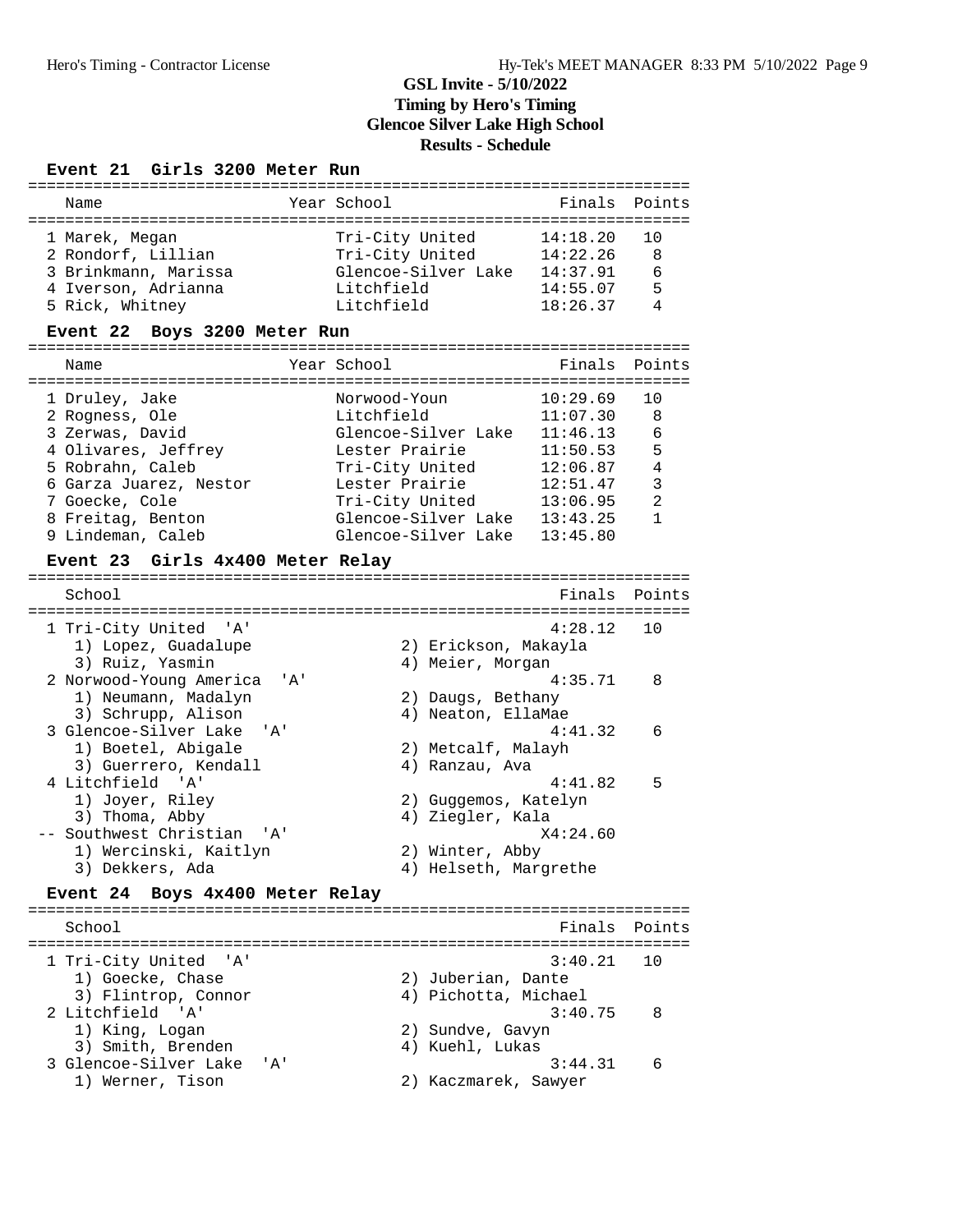### **Event 21 Girls 3200 Meter Run**

| Name                             |              | Year School           | Finals   | Points     |
|----------------------------------|--------------|-----------------------|----------|------------|
|                                  |              |                       |          |            |
| 1 Marek, Megan                   |              | Tri-City United       | 14:18.20 | 10         |
| 2 Rondorf, Lillian               |              | Tri-City United       | 14:22.26 | 8          |
| 3 Brinkmann, Marissa             |              | Glencoe-Silver Lake   | 14:37.91 | 6          |
| 4 Iverson, Adrianna              |              | Litchfield            | 14:55.07 | 5          |
| 5 Rick, Whitney                  |              | Litchfield            | 18:26.37 | 4          |
| Event 22 Boys 3200 Meter Run     |              |                       |          |            |
|                                  |              |                       |          |            |
| Name                             |              | Year School           | Finals   | Points     |
| 1 Druley, Jake                   |              | Norwood-Youn          | 10:29.69 | 10         |
| 2 Rogness, Ole                   |              | Litchfield            | 11:07.30 | 8          |
| 3 Zerwas, David                  |              | Glencoe-Silver Lake   | 11:46.13 | 6          |
| 4 Olivares, Jeffrey              |              | Lester Prairie        | 11:50.53 | 5          |
|                                  |              |                       |          | $\sqrt{4}$ |
| 5 Robrahn, Caleb                 |              | Tri-City United       | 12:06.87 | 3          |
| 6 Garza Juarez, Nestor           |              | Lester Prairie        | 12:51.47 |            |
| 7 Goecke, Cole                   |              | Tri-City United       | 13:06.95 | 2          |
| 8 Freitag, Benton                |              | Glencoe-Silver Lake   | 13:43.25 | 1          |
| 9 Lindeman, Caleb                |              | Glencoe-Silver Lake   | 13:45.80 |            |
| Event 23 Girls 4x400 Meter Relay |              |                       |          |            |
| School                           |              |                       | Finals   | Points     |
|                                  |              |                       |          |            |
| 1 Tri-City United 'A'            |              |                       | 4:28.12  | 10         |
| 1) Lopez, Guadalupe              |              | 2) Erickson, Makayla  |          |            |
| 3) Ruiz, Yasmin                  |              | 4) Meier, Morgan      |          |            |
| 2 Norwood-Young America          | '' A '       |                       | 4:35.71  | 8          |
| 1) Neumann, Madalyn              |              | 2) Daugs, Bethany     |          |            |
| 3) Schrupp, Alison               |              | 4) Neaton, EllaMae    |          |            |
| 3 Glencoe-Silver Lake            | ' A '        |                       | 4:41.32  | 6          |
| 1) Boetel, Abigale               |              | 2) Metcalf, Malayh    |          |            |
| 3) Guerrero, Kendall             |              | 4) Ranzau, Ava        |          |            |
| 4 Litchfield<br>' A '            |              |                       | 4:41.82  | 5          |
| 1) Joyer, Riley                  |              | 2) Guggemos, Katelyn  |          |            |
| 3) Thoma, Abby                   |              | 4) Ziegler, Kala      |          |            |
| -- Southwest Christian           | י ב <i>ו</i> |                       | X4:24.60 |            |
| 1) Wercinski, Kaitlyn            |              | 2) Winter, Abby       |          |            |
| 3) Dekkers, Ada                  |              | 4) Helseth, Margrethe |          |            |
| Event 24 Boys 4x400 Meter Relay  |              |                       |          |            |
|                                  |              |                       |          |            |
| School                           |              |                       | Finals   | Points     |
|                                  |              |                       |          |            |
| 1 Tri-City United 'A'            |              |                       | 3:40.21  | 10         |
| 1) Goecke, Chase                 |              | 2) Juberian, Dante    |          |            |
| 3) Flintrop, Connor              |              | 4) Pichotta, Michael  |          |            |
| 2 Litchfield 'A'                 |              |                       | 3:40.75  | 8          |
| 1) King, Logan                   |              | 2) Sundve, Gavyn      |          |            |
| 3) Smith, Brenden                |              | 4) Kuehl, Lukas       |          |            |
| 3 Glencoe-Silver Lake            | י A י        |                       | 3:44.31  | 6          |
| 1) Werner, Tison                 |              | 2) Kaczmarek, Sawyer  |          |            |
|                                  |              |                       |          |            |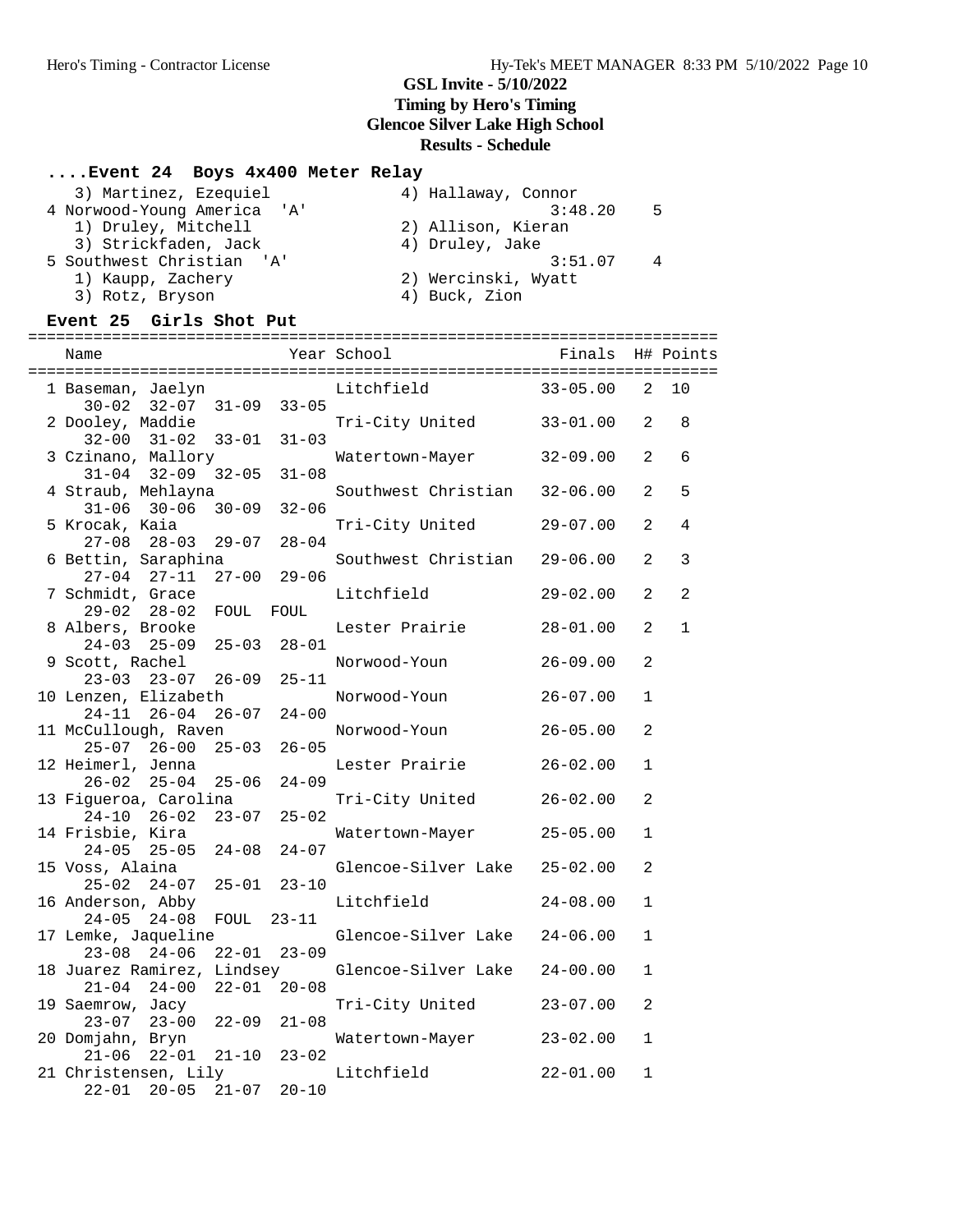# **....Event 24 Boys 4x400 Meter Relay**

| 3) Martinez, Ezequiel       | 4) Hallaway, Connor |
|-----------------------------|---------------------|
| 4 Norwood-Young America 'A' | 3:48.20<br>- 5      |
| 1) Druley, Mitchell         | 2) Allison, Kieran  |
| 3) Strickfaden, Jack        | 4) Druley, Jake     |
| 5 Southwest Christian 'A'   | 3:51.07<br>4        |
| 1) Kaupp, Zachery           | 2) Wercinski, Wyatt |
| 3) Rotz, Bryson             | 4) Buck, Zion       |

### **Event 25 Girls Shot Put**

| Name                                              |           |           | Year School         | Finals       |                | H# Points      |
|---------------------------------------------------|-----------|-----------|---------------------|--------------|----------------|----------------|
| 1 Baseman, Jaelyn                                 |           |           | Litchfield          | $33 - 05.00$ | 2              | 10             |
| $32 - 07$ $31 - 09$<br>$30 - 02$                  |           | $33 - 05$ |                     |              |                |                |
| 2 Dooley, Maddie<br>$32 - 00$ $31 - 02$ $33 - 01$ |           | $31 - 03$ | Tri-City United     | $33 - 01.00$ | 2              | 8              |
| 3 Czinano, Mallory                                |           |           | Watertown-Mayer     | $32 - 09.00$ | 2              | 6              |
| $31 - 04$ $32 - 09$ $32 - 05$                     |           | $31 - 08$ |                     |              |                |                |
| 4 Straub, Mehlayna                                |           |           | Southwest Christian | $32 - 06.00$ | 2              | 5              |
| $30 - 06$<br>$31 - 06$                            | $30 - 09$ | $32 - 06$ |                     |              |                |                |
| 5 Krocak, Kaia                                    |           |           | Tri-City United     | $29 - 07.00$ | 2              | 4              |
| $28 - 03$ 29-07<br>$27 - 08$                      |           | $28 - 04$ |                     |              |                |                |
| 6 Bettin, Saraphina                               |           |           | Southwest Christian | $29 - 06.00$ | 2              | 3              |
| $27-04$ $27-11$ $27-00$                           |           | $29 - 06$ |                     |              |                |                |
| 7 Schmidt, Grace                                  |           |           | Litchfield          | $29 - 02.00$ | 2              | $\overline{a}$ |
| $29 - 02$<br>28-02 FOUL                           |           | FOUL      |                     |              |                |                |
| 8 Albers, Brooke                                  |           |           | Lester Prairie      | $28 - 01.00$ | 2              | $\mathbf{1}$   |
| $25 - 09$ $25 - 03$<br>$24 - 03$                  |           | $28 - 01$ |                     |              |                |                |
| 9 Scott, Rachel                                   |           |           | Norwood-Youn        | $26 - 09.00$ | 2              |                |
| $23 - 03$ $23 - 07$ $26 - 09$                     |           | $25 - 11$ |                     |              |                |                |
| 10 Lenzen, Elizabeth<br>$24 - 11$ $26 - 04$       | $26 - 07$ | $24 - 00$ | Norwood-Youn        | $26 - 07.00$ | 1              |                |
| 11 McCullough, Raven                              |           |           | Norwood-Youn        | $26 - 05.00$ | 2              |                |
| $25 - 07$ 26-00                                   | $25 - 03$ | $26 - 05$ |                     |              |                |                |
| 12 Heimerl, Jenna                                 |           |           | Lester Prairie      | $26 - 02.00$ | $\mathbf{1}$   |                |
| $26 - 02$ $25 - 04$ $25 - 06$                     |           | $24 - 09$ |                     |              |                |                |
| 13 Figueroa, Carolina                             |           |           | Tri-City United     | $26 - 02.00$ | 2              |                |
| $24 - 10$<br>$26 - 02$                            | $23 - 07$ | $25 - 02$ |                     |              |                |                |
| 14 Frisbie, Kira                                  |           |           | Watertown-Mayer     | $25 - 05.00$ | $\mathbf{1}$   |                |
| $24 - 05$ 25-05                                   | $24 - 08$ | $24 - 07$ |                     |              |                |                |
| 15 Voss, Alaina                                   |           |           | Glencoe-Silver Lake | $25 - 02.00$ | $\overline{a}$ |                |
| $25 - 02$ $24 - 07$                               | $25 - 01$ | $23 - 10$ |                     |              |                |                |
| 16 Anderson, Abby                                 |           |           | Litchfield          | $24 - 08.00$ | $\mathbf{1}$   |                |
| $24 - 05$<br>$24 - 08$                            | FOUL      | $23 - 11$ |                     |              |                |                |
| 17 Lemke, Jaqueline                               |           |           | Glencoe-Silver Lake | $24 - 06.00$ | $\mathbf{1}$   |                |
| $23 - 08$<br>24-06 22-01                          |           | $23 - 09$ |                     |              |                |                |
| 18 Juarez Ramirez, Lindsey                        |           |           | Glencoe-Silver Lake | $24 - 00.00$ | $\mathbf{1}$   |                |
| $21 - 04$ 24-00                                   | $22 - 01$ | $20 - 08$ |                     |              |                |                |
| 19 Saemrow, Jacy                                  |           |           | Tri-City United     | $23 - 07.00$ | $\overline{a}$ |                |
| $23 - 07$ $23 - 00$                               | $22 - 09$ | $21 - 08$ |                     |              |                |                |
| 20 Domjahn, Bryn                                  | $21 - 10$ |           | Watertown-Mayer     | $23 - 02.00$ | $\mathbf{1}$   |                |
| $21 - 06$<br>22-01<br>21 Christensen, Lily        |           | $23 - 02$ | Litchfield          | $22 - 01.00$ | $\mathbf{1}$   |                |
| $22 - 01$<br>$20 - 05$                            | $21 - 07$ | $20 - 10$ |                     |              |                |                |
|                                                   |           |           |                     |              |                |                |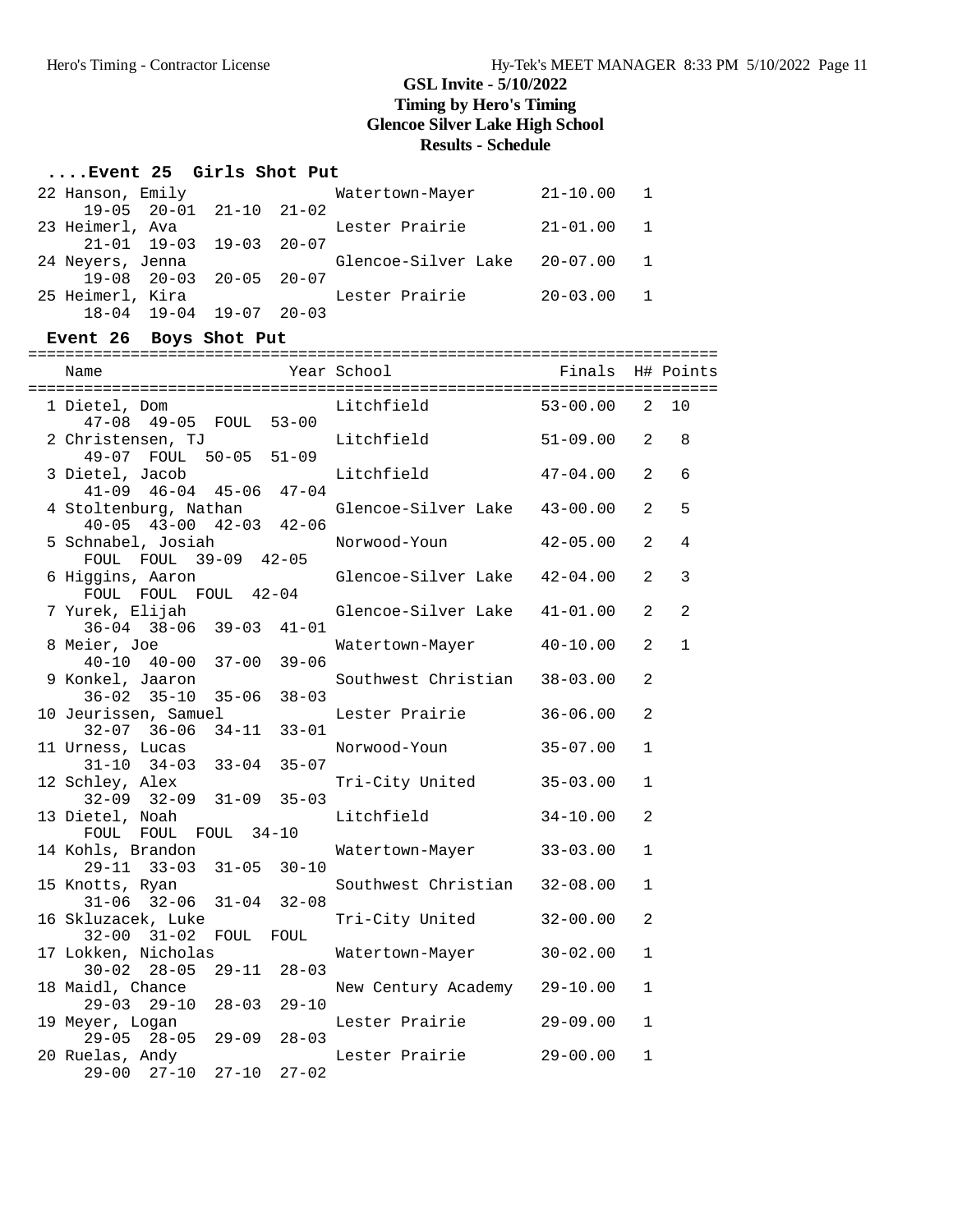### **....Event 25 Girls Shot Put**

| 22 Hanson, Emily                                    | Watertown-Mayer                | $21 - 10.00$ 1 |  |
|-----------------------------------------------------|--------------------------------|----------------|--|
| $19-05$ $20-01$ $21-10$ $21-02$                     |                                |                |  |
| 23 Heimerl, Ava                                     | Lester Prairie                 | 21-01.00 1     |  |
| $21 - 01$ $19 - 03$ $19 - 03$ $20 - 07$             |                                |                |  |
| 24 Neyers, Jenna                                    | Glencoe-Silver Lake 20-07.00 1 |                |  |
| $19-08$ $20-03$ $20-05$ $20-07$                     |                                |                |  |
| 25 Heimerl, Kira<br>$18-04$ $19-04$ $19-07$ $20-03$ | Lester Prairie                 | $20 - 03.00$ 1 |  |
|                                                     |                                |                |  |

### **Event 26 Boys Shot Put**

==========================================================================

| Name                                                                          |           | Year School                            | Finals                       |                     | H# Points           |
|-------------------------------------------------------------------------------|-----------|----------------------------------------|------------------------------|---------------------|---------------------|
| 1 Dietel, Dom<br>47-08 49-05 FOUL 53-00                                       |           | Litchfield                             | $53 - 00.00$                 | 2                   | 10                  |
| 2 Christensen, TJ<br>49-07 FOUL 50-05 51-09                                   |           | Litchfield                             | $51 - 09.00$                 | 2                   | 8                   |
| 3 Dietel, Jacob<br>$41-09$ $46-04$ $45-06$ $47-04$                            |           | Litchfield                             | $47 - 04.00$                 | $\mathfrak{D}$      | 6                   |
| 4 Stoltenburg, Nathan<br>$40-05$ $43-00$ $42-03$ $42-06$                      |           | Glencoe-Silver Lake                    | $43 - 00.00$                 | $\overline{2}$      | 5                   |
| 5 Schnabel, Josiah<br>FOUL FOUL 39-09 42-05                                   |           | Norwood-Youn                           | $42 - 05.00$                 | 2                   | $\overline{4}$      |
| 6 Higgins, Aaron<br>FOUL FOUL FOUL 42-04                                      |           | Glencoe-Silver Lake                    | $42 - 04.00$                 | 2<br>$\mathfrak{D}$ | 3<br>$\overline{a}$ |
| 7 Yurek, Elijah<br>$36 - 04$ $38 - 06$ $39 - 03$<br>8 Meier, Joe              | $41 - 01$ | Glencoe-Silver Lake<br>Watertown-Mayer | $41 - 01.00$<br>$40 - 10.00$ | 2                   | $\mathbf{1}$        |
| $40 - 10$ $40 - 00$<br>$37 - 00$<br>9 Konkel, Jaaron                          | $39 - 06$ | Southwest Christian                    | $38 - 03.00$                 | $\overline{2}$      |                     |
| $36 - 02$ $35 - 10$<br>$35 - 06$<br>10 Jeurissen, Samuel                      | $38 - 03$ | Lester Prairie                         | $36 - 06.00$                 | $\overline{2}$      |                     |
| $34 - 11$<br>$32 - 07$ $36 - 06$<br>11 Urness, Lucas                          | $33 - 01$ | Norwood-Youn                           | $35 - 07.00$                 | 1                   |                     |
| $31 - 10$ $34 - 03$<br>$33 - 04$<br>12 Schley, Alex                           | $35 - 07$ | Tri-City United                        | $35 - 03.00$                 | $\mathbf{1}$        |                     |
| $32 - 09$ $32 - 09$<br>$31 - 09$<br>13 Dietel, Noah                           | $35 - 03$ | Litchfield                             | $34 - 10.00$                 | $\overline{a}$      |                     |
| FOUL FOUL FOUL 34-10<br>14 Kohls, Brandon<br>$29 - 11$ $33 - 03$<br>$31 - 05$ | $30 - 10$ | Watertown-Mayer                        | $33 - 03.00$                 | $\mathbf{1}$        |                     |
| 15 Knotts, Ryan<br>$31 - 04$<br>$31 - 06$ $32 - 06$                           | $32 - 08$ | Southwest Christian                    | $32 - 08.00$                 | $\mathbf{1}$        |                     |
| 16 Skluzacek, Luke<br>32-00 31-02 FOUL                                        | FOUL      | Tri-City United                        | $32 - 00.00$                 | $\overline{2}$      |                     |
| 17 Lokken, Nicholas<br>$30 - 02$ $28 - 05$<br>$29 - 11$                       | $28 - 03$ | Watertown-Mayer                        | $30 - 02.00$                 | $\mathbf{1}$        |                     |
| 18 Maidl, Chance<br>$29 - 03$ $29 - 10$<br>$28 - 03$                          | $29 - 10$ | New Century Academy                    | $29 - 10.00$                 | $\mathbf{1}$        |                     |
| 19 Meyer, Logan<br>$29 - 05$ $28 - 05$<br>$29 - 09$                           | $28 - 03$ | Lester Prairie                         | $29 - 09.00$                 | $\mathbf{1}$        |                     |
| 20 Ruelas, Andy<br>$29 - 00$ $27 - 10$<br>$27 - 10$                           | $27 - 02$ | Lester Prairie                         | $29 - 00.00$                 | 1                   |                     |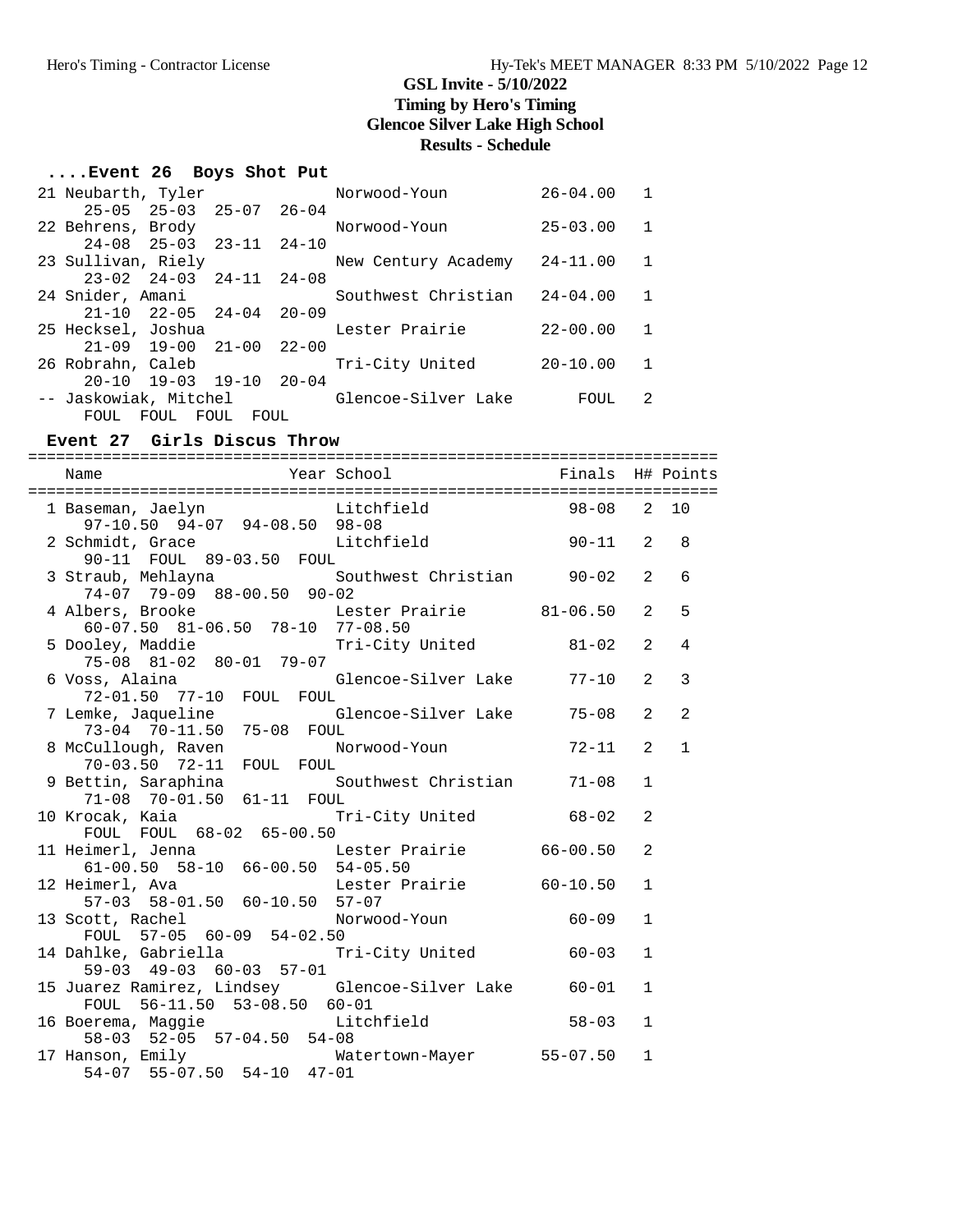# **....Event 26 Boys Shot Put**

| 21 Neubarth, Tyler                         | Norwood-Youn        | $26 - 04.00$ |              |
|--------------------------------------------|---------------------|--------------|--------------|
| $25-05$ $25-03$ $25-07$ $26-04$            |                     |              |              |
| 22 Behrens, Brody                          | Norwood-Youn        | $25 - 03.00$ | $\mathbf{1}$ |
| $24-08$ $25-03$ $23-11$ $24-10$            |                     |              |              |
| 23 Sullivan, Riely                         | New Century Academy | $24 - 11.00$ | $\mathbf{1}$ |
| $23-02$ $24-03$ $24-11$ $24-08$            |                     |              |              |
| 24 Snider, Amani                           | Southwest Christian | $24 - 04.00$ | -1           |
| $21 - 10$ $22 - 05$ $24 - 04$<br>$20 - 09$ |                     |              |              |
| 25 Hecksel, Joshua                         | Lester Prairie      | $22 - 00.00$ | -1           |
| $21 - 09$ 19-00 21-00<br>$22 - 00$         |                     |              |              |
| 26 Robrahn, Caleb                          | Tri-City United     | $20 - 10.00$ | -1           |
| $20-10$ $19-03$ $19-10$ $20-04$            |                     |              |              |
| -- Jaskowiak, Mitchel                      | Glencoe-Silver Lake | FOUL         | 2            |
| FOUL<br>FOUL<br>FOUL<br>FOUL               |                     |              |              |

#### **Event 27 Girls Discus Throw**

==========================================================================

| Name                                                                                                                                             | Year School                | Finals H# Points |                |                |
|--------------------------------------------------------------------------------------------------------------------------------------------------|----------------------------|------------------|----------------|----------------|
| ====================================<br>1 Baseman, Jaelyn           Litchfield             98-08   2 10<br>$97-10.50$ $94-07$ $94-08.50$ $98-08$ | ========================== |                  |                |                |
| 97-10.50 94-07 94-08.50 98-08<br>2 Schmidt, Grace Litchfield 90-11 2<br>90-11 FOUL 89-03.50 FOUL                                                 |                            |                  |                | 8              |
| 3 Straub, Mehlayna<br>$74-07$ $79-09$ $88-00.50$ $90-02$                                                                                         | Southwest Christian 90-02  |                  | 2              | 6              |
| 4 Albers, Brooke Lester P1<br>60-07.50 81-06.50 78-10 77-08.50                                                                                   | Lester Prairie 81-06.50    |                  | $\mathfrak{D}$ | 5              |
| 5 Dooley, Maddie Tri-City United<br>75-08 81-02 80-01 79-07                                                                                      |                            | $81 - 02$        | $\mathfrak{D}$ | $\overline{4}$ |
| 6 Voss, Alaina                           Glencoe-Silver Lake         77-10<br>72-01.50   77-10   FOUL   FOUL                                     |                            |                  | $\mathfrak{D}$ | 3              |
| 7 Lemke, Jaqueline Glencoe-Silver Lake 75-08<br>73-04 70-11.50 75-08 FOUL                                                                        |                            |                  | 2              | 2              |
| 8 McCullough, Raven Norwood-Youn 72-11<br>70-03.50 72-11 FOUL FOUL                                                                               |                            |                  | $\mathfrak{D}$ | $\mathbf{1}$   |
| 9 Bettin, Saraphina (Southwest Christian 71-08)<br>71-08 70-01.50 61-11 FOUL                                                                     |                            |                  | $\mathbf{1}$   |                |
| 10 Krocak, Kaia<br>FOUL FOUL 68-02 65-00.50                                                                                                      | Tri-City United 68-02      |                  | 2              |                |
| 11 Heimerl, Jenna<br>$61-00.50$ $58-10$ $66-00.50$ $54-05.50$<br>imerl. Ava                                                                      | Lester Prairie 66-00.50    |                  | $\mathfrak{D}$ |                |
| 12 Heimerl, Ava<br>57-03 58-01.50 60-10.50 57-07                                                                                                 | Lester Prairie 60-10.50    |                  | $\mathbf{1}$   |                |
| 13 Scott, Rachel<br>FOUL 57-05 60-09 54-02.50                                                                                                    | Norwood-Youn 60-09         |                  | $\mathbf{1}$   |                |
| 14 Dahlke, Gabriella                   Tri-City United               60-03<br>59-03 49-03 60-03 57-01                                            |                            |                  | $\mathbf{1}$   |                |
| 15 Juarez Ramirez, Lindsey Glencoe-Silver Lake 60-01<br>FOUL 56-11.50 53-08.50 60-01                                                             |                            |                  | $\mathbf{1}$   |                |
| 16 Boerema, Maggie Litchfield 58-03<br>58-03 52-05 57-04.50 54-08                                                                                |                            |                  | $\mathbf{1}$   |                |
| 17 Hanson, Emily Matertown-Mayer 55-07.50<br>54-07 55-07.50 54-10 47-01                                                                          |                            |                  | $\mathbf{1}$   |                |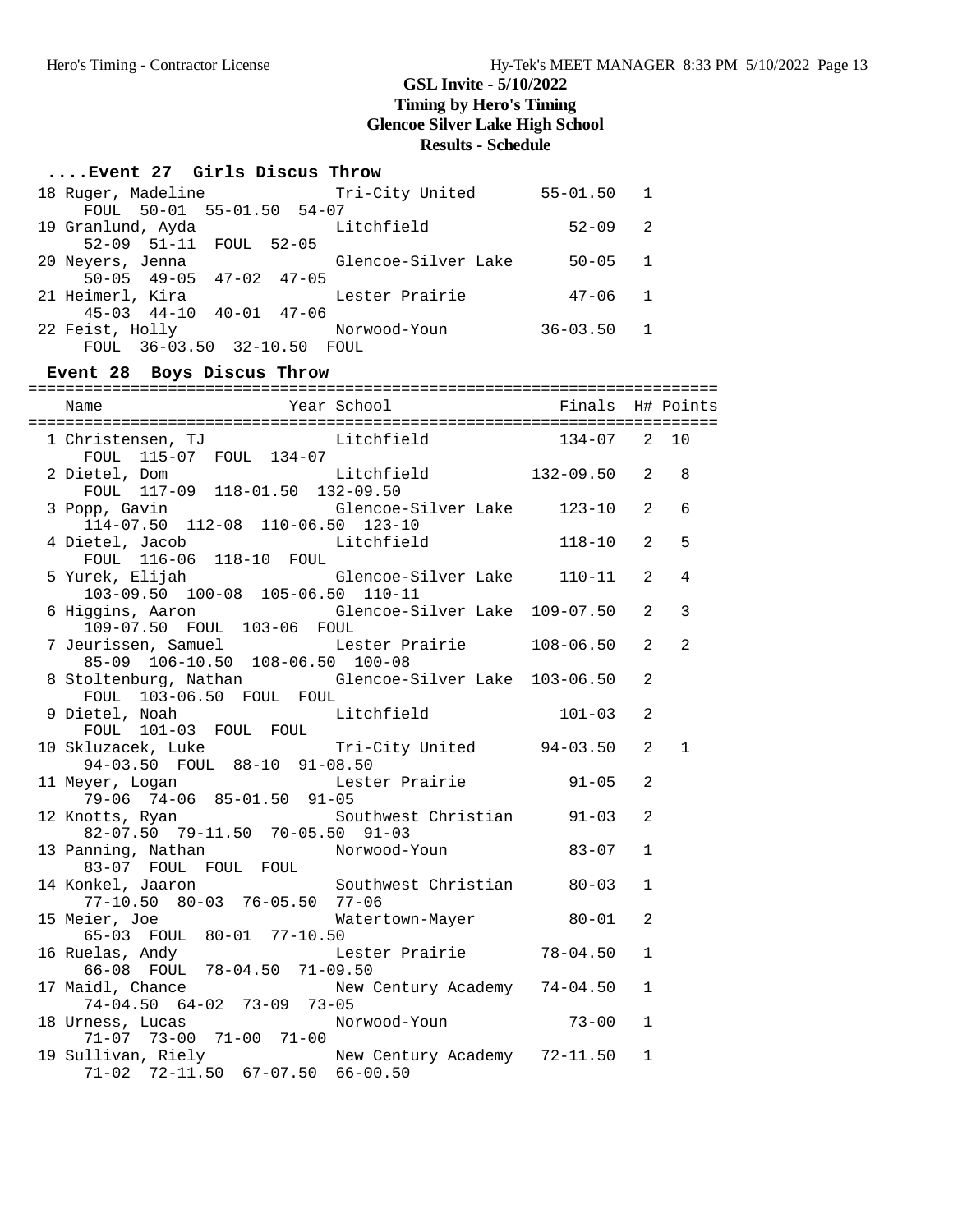### **....Event 27 Girls Discus Throw**

| 18 Ruger, Madeline              | Tri-City United     | $55 - 01.50$ 1 |                |
|---------------------------------|---------------------|----------------|----------------|
| FOUL 50-01 55-01.50 54-07       |                     |                |                |
| 19 Granlund, Ayda               | Litchfield          | $52 - 09$ 2    |                |
| 52-09 51-11 FOUL 52-05          |                     |                |                |
| 20 Neyers, Jenna                | Glencoe-Silver Lake | $50 - 05$ 1    |                |
| $50-05$ $49-05$ $47-02$ $47-05$ |                     |                |                |
| 21 Heimerl, Kira                | Lester Prairie      | $47 - 06$ 1    |                |
| $45-03$ $44-10$ $40-01$ $47-06$ |                     |                |                |
| 22 Feist, Holly                 | Norwood-Youn        | 36-03.50       | $\overline{1}$ |
| FOUL 36-03.50 32-10.50 FOUL     |                     |                |                |

### **Event 28 Boys Discus Throw**

| 1 Christensen, TJ<br>FOUL 115-07 FOUL 134-07 Litchfield 134-07 2                                         |            |                | 10             |
|----------------------------------------------------------------------------------------------------------|------------|----------------|----------------|
| Litchfield 132-09.50 2<br>2 Dietel, Dom<br>FOUL 117-09 118-01.50 132-09.50                               |            |                | 8              |
| Glencoe-Silver Lake 123-10<br>3 Popp, Gavin<br>114-07.50 112-08 110-06.50 123-10                         |            | 2              | 6              |
| Litchfield 118-10<br>4 Dietel, Jacob<br>FOUL 116-06 118-10 FOUL                                          |            | 2              | 5              |
| 5 Yurek, Elijah<br>Glencoe-Silver Lake 110-11<br>103-09.50 100-08 105-06.50 110-11                       |            | 2              | $\overline{4}$ |
| 6 Higgins, Aaron                       Glencoe-Silver Lake  109-07.50<br>109-07.50   FOUL  103-06   FOUL |            | 2              | 3              |
| 7 Jeurissen, Samuel Marker Prairie 108-06.50<br>85-09 106-10.50 108-06.50 100-08                         |            | $\mathfrak{D}$ | $\overline{2}$ |
| 8 Stoltenburg, Nathan Glencoe-Silver Lake 103-06.50<br>FOUL 103-06.50 FOUL FOUL                          |            | $\mathfrak{D}$ |                |
| Litchfield<br>9 Dietel, Noah<br>FOUL 101-03 FOUL FOUL                                                    | $101 - 03$ | 2              |                |
| Tri-City United 94-03.50<br>10 Skluzacek, Luke<br>94-03.50 FOUL 88-10 91-08.50                           |            | 2              | $\mathbf{1}$   |
| Lester Prairie 91-05<br>11 Meyer, Logan<br>79-06 74-06 85-01.50 91-05                                    |            | 2              |                |
| 12 Knotts, Ryan Southwest Christian 91-03<br>$82-07.50$ 79-11.50 70-05.50 91-03                          |            | 2              |                |
| 13 Panning, Nathan Morwood-Youn<br>83-07 FOUL FOUL FOUL<br>14 Konkel, Jaaron Southwest Christian 80-03   | $83 - 07$  | $\mathbf{1}$   |                |
| 77-10.50 80-03 76-05.50 77-06                                                                            |            | $\mathbf{1}$   |                |
| Watertown-Mayer 80-01<br>Water, Joe<br>65-03 FOUL 80-01 77-10.50                                         |            | 2              |                |
| Lester Prairie 78-04.50<br>16 Ruelas, Andy<br>66-08 FOUL 78-04.50 71-09.50                               |            | $\mathbf{1}$   |                |
| 17 Maidl, Chance<br>New Century Academy 74-04.50<br>$74-04.50$ $64-02$ $73-09$ $73-05$                   |            | $\mathbf{1}$   |                |
| 18 Urness, Lucas Morwood-Youn 73-00<br>71-07 73-00 71-00 71-00                                           |            | $\mathbf{1}$   |                |
| 19 Sullivan, Riely Mew Century Academy 72-11.50<br>71-02 72-11.50 67-07.50 66-00.50                      |            | $\mathbf{1}$   |                |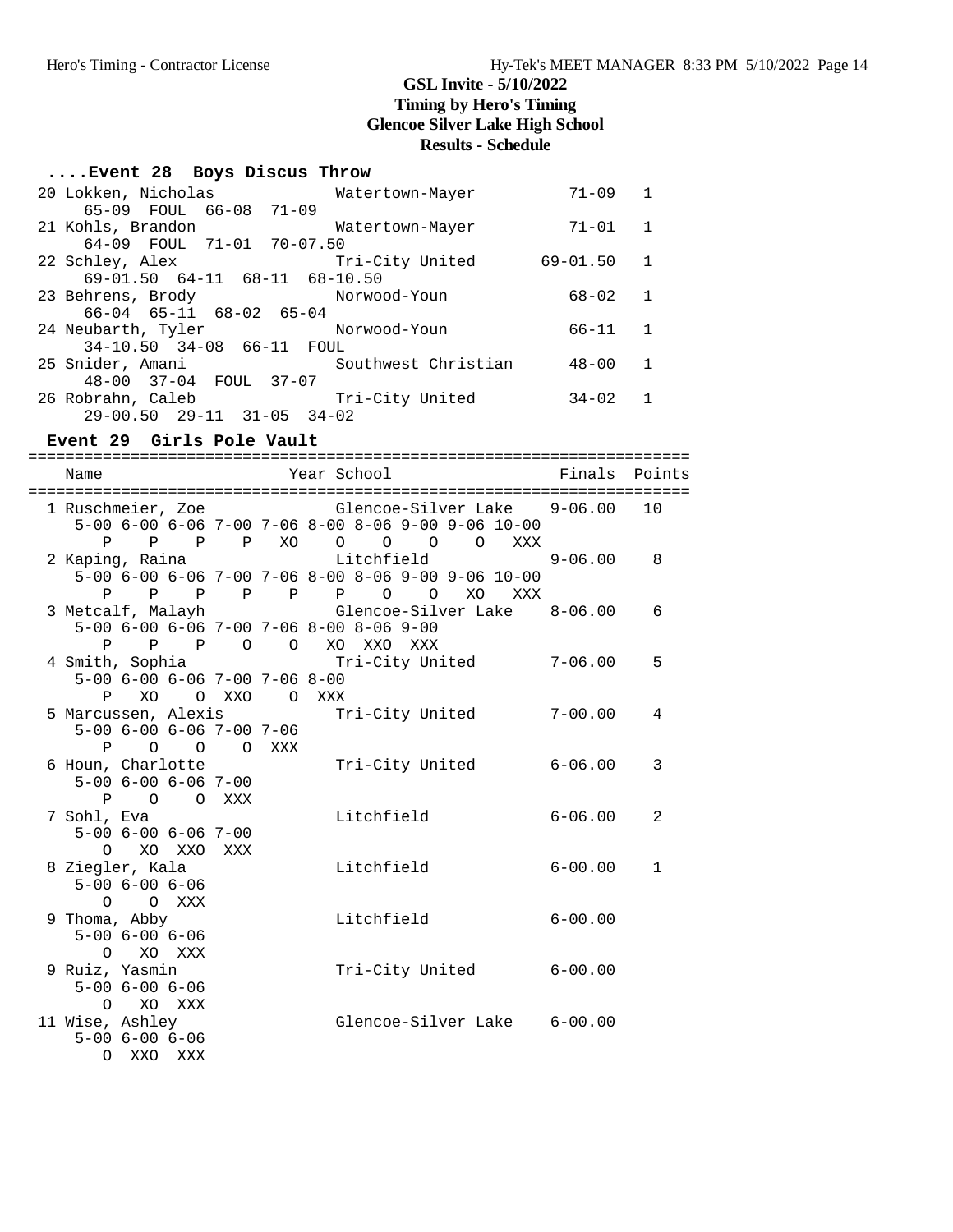# **....Event 28 Boys Discus Throw**

| 20 Lokken, Nicholas<br>Watertown-Mayer  | $71 - 09$    | 1            |
|-----------------------------------------|--------------|--------------|
| 65-09 FOUL 66-08 71-09                  |              |              |
| 21 Kohls, Brandon<br>Watertown-Mayer    | $71 - 01$    | 1            |
| 64-09 FOUL 71-01 70-07.50               |              |              |
| Tri-City United<br>22 Schley, Alex      | $69 - 01.50$ | 1            |
| 69-01.50 64-11 68-11 68-10.50           |              |              |
| 23 Behrens, Brody<br>Norwood-Youn       | $68 - 02$    | $\mathbf{1}$ |
| 66-04 65-11 68-02 65-04                 |              |              |
| 24 Neubarth, Tyler<br>Norwood-Youn      | 66-11        | $\mathbf{1}$ |
| 34-10.50 34-08 66-11 FOUL               |              |              |
| Southwest Christian<br>25 Snider, Amani | $48 - 00$    | 1            |
| 48-00 37-04 FOUL 37-07                  |              |              |
| Tri-City United<br>26 Robrahn, Caleb    | $34 - 02$    | 1            |
| $29-00.50$ $29-11$ $31-05$ $34-02$      |              |              |

#### **Event 29 Girls Pole Vault**

=======================================================================

|  | Name                |                            |                                     |     | Year School                                                                                                 | Finals      | Points       |
|--|---------------------|----------------------------|-------------------------------------|-----|-------------------------------------------------------------------------------------------------------------|-------------|--------------|
|  |                     |                            |                                     |     | 1 Ruschmeier, Zoe     Glencoe-Silver Lake     9-06.00<br>5-00 6-00 6-06 7-00 7-06 8-00 8-06 9-00 9-06 10-00 |             | 10           |
|  | P.                  |                            | P P P XO                            |     | $\begin{array}{ccccccccccccccccc} \circ & \circ & \circ & \circ & \circ & \circ \end{array}$<br>XXX         |             |              |
|  | 2 Kaping, Raina     |                            |                                     |     | Litchfield                                                                                                  | $9 - 06.00$ | 8            |
|  |                     |                            |                                     |     | 5-00 6-00 6-06 7-00 7-06 8-00 8-06 9-00 9-06 10-00                                                          |             |              |
|  |                     |                            |                                     |     | P P P P P P P O XO XXX                                                                                      |             |              |
|  |                     |                            |                                     |     | 3 Metcalf, Malayh (Glencoe-Silver Lake 8-06.00                                                              |             | 6            |
|  |                     |                            |                                     |     | 5-00 6-00 6-06 7-00 7-06 8-00 8-06 9-00                                                                     |             |              |
|  | P                   |                            |                                     |     | P P O O XO XXO XXX                                                                                          |             |              |
|  | 4 Smith, Sophia     |                            |                                     |     | Tri-City United 7-06.00                                                                                     |             | 5            |
|  |                     |                            | $5-00$ 6-00 6-06 7-00 7-06 8-00     |     |                                                                                                             |             |              |
|  |                     |                            | P XO O XXO O XXX                    |     |                                                                                                             |             |              |
|  | 5 Marcussen, Alexis |                            |                                     |     | Tri-City United                                                                                             | $7 - 00.00$ | 4            |
|  |                     |                            | $5-00$ $6-00$ $6-06$ $7-00$ $7-06$  |     |                                                                                                             |             |              |
|  |                     | $\mathbf{P}$               | $O$ $O$ $O$ $XXX$                   |     |                                                                                                             | $6 - 06.00$ | 3            |
|  | 6 Houn, Charlotte   |                            | $5 - 00$ $6 - 00$ $6 - 06$ $7 - 00$ |     | Tri-City United                                                                                             |             |              |
|  |                     |                            | P O O XXX                           |     |                                                                                                             |             |              |
|  | 7 Sohl, Eva         |                            |                                     |     | Litchfield                                                                                                  | $6 - 06.00$ | 2            |
|  |                     |                            | $5 - 00$ $6 - 00$ $6 - 06$ $7 - 00$ |     |                                                                                                             |             |              |
|  |                     | $\Omega$                   | XO XXO                              | XXX |                                                                                                             |             |              |
|  | 8 Ziegler, Kala     |                            |                                     |     | Litchfield                                                                                                  | $6 - 00.00$ | $\mathbf{1}$ |
|  |                     | $5 - 00$ $6 - 00$ $6 - 06$ |                                     |     |                                                                                                             |             |              |
|  |                     | O O XXX                    |                                     |     |                                                                                                             |             |              |
|  | 9 Thoma, Abby       |                            |                                     |     | Litchfield                                                                                                  | $6 - 00.00$ |              |
|  |                     | $5 - 00$ $6 - 00$ $6 - 06$ |                                     |     |                                                                                                             |             |              |
|  |                     | $\Omega$                   | XO XXX                              |     |                                                                                                             |             |              |
|  | 9 Ruiz, Yasmin      |                            |                                     |     | Tri-City United 6-00.00                                                                                     |             |              |
|  |                     | $5 - 00$ $6 - 00$ $6 - 06$ |                                     |     |                                                                                                             |             |              |
|  |                     | O XO XXX                   |                                     |     |                                                                                                             |             |              |
|  | 11 Wise, Ashley     | $5 - 00$ $6 - 00$ $6 - 06$ |                                     |     | Glencoe-Silver Lake 6-00.00                                                                                 |             |              |
|  |                     | O XXO XXX                  |                                     |     |                                                                                                             |             |              |
|  |                     |                            |                                     |     |                                                                                                             |             |              |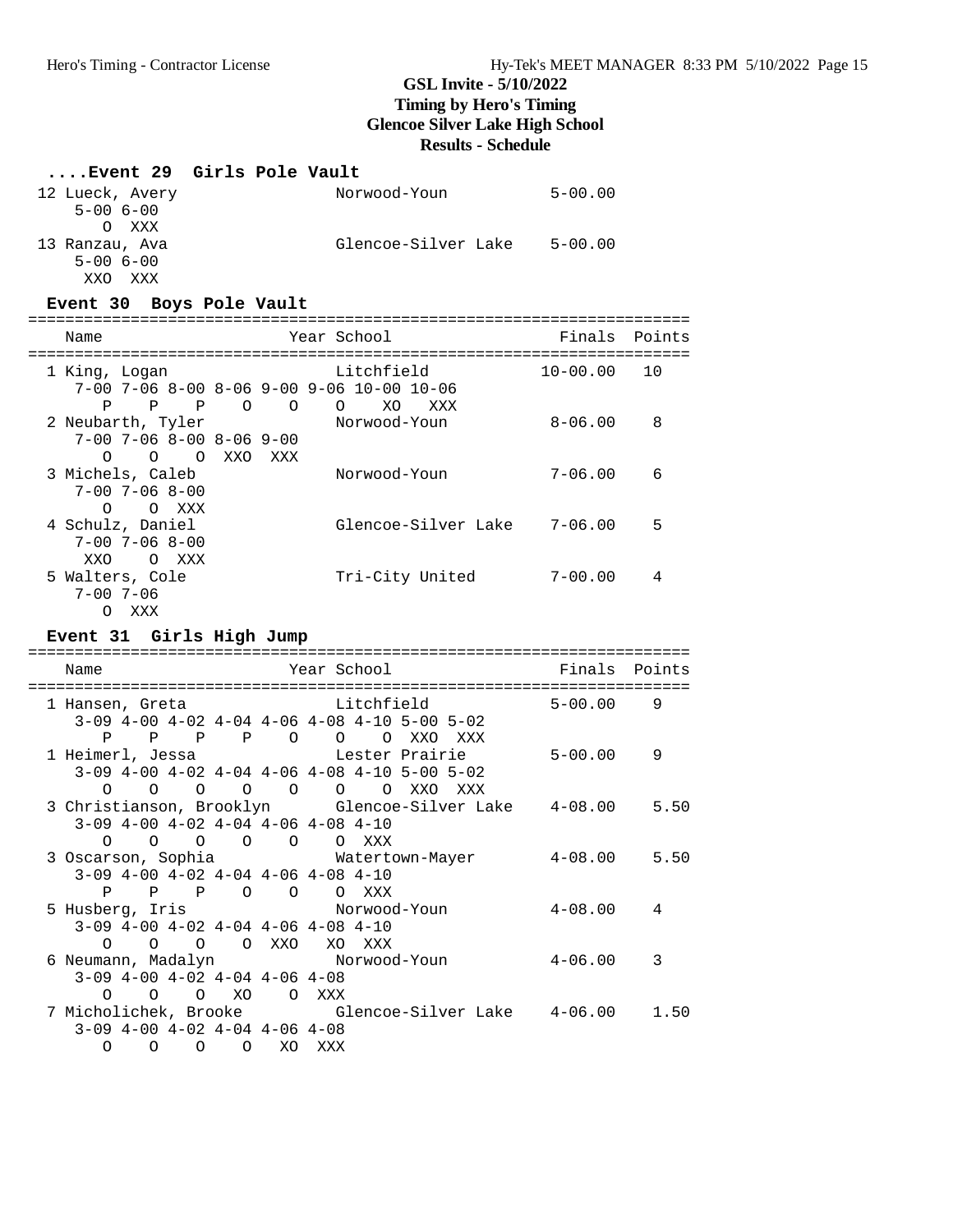### **....Event 29 Girls Pole Vault**

| 12 Lueck, Avery | Norwood-Youn        | $5 - 00.00$ |
|-----------------|---------------------|-------------|
| $5 - 006 - 00$  |                     |             |
| XXX             |                     |             |
| 13 Ranzau, Ava  | Glencoe-Silver Lake | $5 - 00.00$ |
| $5 - 006 - 00$  |                     |             |
| XXO<br>XXX.     |                     |             |

### **Event 30 Boys Pole Vault**

| Name                                                                               | Year School                                                             | Finals       | Points |
|------------------------------------------------------------------------------------|-------------------------------------------------------------------------|--------------|--------|
| 1 King, Logan                                                                      | Litchfield<br>$7-00$ $7-06$ $8-00$ $8-06$ $9-00$ $9-06$ $10-00$ $10-06$ | $10 - 00.00$ | 10     |
| P<br>P<br>$\Omega$<br>P<br>2 Neubarth, Tyler<br>$7-00$ $7-06$ $8-00$ $8-06$ $9-00$ | XO.<br>XXX<br>$\Omega$<br>∩<br>Norwood-Youn                             | $8 - 06.00$  | 8      |
| O O XXO<br>$\Omega$<br>3 Michels, Caleb<br>$7 - 00$ $7 - 06$ $8 - 00$              | XXX<br>Norwood-Youn                                                     | $7 - 06.00$  | 6      |
| $\Omega$<br>O XXX<br>4 Schulz, Daniel<br>$7 - 00$ $7 - 06$ $8 - 00$                | Glencoe-Silver Lake                                                     | $7 - 06.00$  | 5      |
| XXO<br>XXX<br>$\Omega$<br>5 Walters, Cole<br>$7 - 00$ 7-06<br>XXX<br>$\left($      | Tri-City United                                                         | $7 - 00.00$  | 4      |

### **Event 31 Girls High Jump**

| Name                                              |              |                                                 |                   |         | Year School |                     |     |     | Finals Points                                                    |      |
|---------------------------------------------------|--------------|-------------------------------------------------|-------------------|---------|-------------|---------------------|-----|-----|------------------------------------------------------------------|------|
| 1 Hansen, Greta                                   |              |                                                 | Litchfield Litchs |         |             |                     |     |     | $5 - 00.00$                                                      | 9    |
|                                                   |              | $3-09$ 4-00 4-02 4-04 4-06 4-08 4-10 5-00 5-02  |                   |         |             |                     |     |     |                                                                  |      |
| P                                                 | $\mathbf{P}$ | $\mathbf P$                                     |                   | $P$ 0 0 |             | $\circ$             | XXO | XXX |                                                                  |      |
| 1 Heimerl, Jessa                   Lester Prairie |              |                                                 |                   |         |             |                     |     |     | 5-00.00                                                          | 9    |
|                                                   |              | $3-09$ 4-00 4-02 4-04 4-06 4-08 4-10 5-00 5-02  |                   |         |             |                     |     |     |                                                                  |      |
| $\Omega$                                          | $\Omega$     |                                                 | $\circ$ $\circ$   | $\circ$ |             | $\Omega$<br>$\circ$ | XXO | XXX |                                                                  |      |
|                                                   |              |                                                 |                   |         |             |                     |     |     | 3 Christianson, Brooklyn Glencoe-Silver Lake 4-08.00 5.50        |      |
|                                                   |              | $3-09$ 4-00 4-02 4-04 4-06 4-08 4-10            |                   |         |             |                     |     |     |                                                                  |      |
|                                                   |              | $\begin{matrix} 0 & 0 & 0 & 0 & 0 \end{matrix}$ |                   |         | O XXX       |                     |     |     |                                                                  |      |
| 3 Oscarson, Sophia Matertown-Mayer                |              |                                                 |                   |         |             |                     |     |     | $4 - 08.00$ 5.50                                                 |      |
|                                                   |              | $3-09$ 4-00 4-02 4-04 4-06 4-08 4-10            |                   |         |             |                     |     |     |                                                                  |      |
| P                                                 |              | P P O O O XXX                                   |                   |         |             |                     |     |     |                                                                  |      |
| 5 Husberg, Iris                 Norwood-Youn      |              |                                                 |                   |         |             |                     |     |     | 4-08.00                                                          | 4    |
|                                                   |              | $3-09$ 4-00 4-02 4-04 4-06 4-08 4-10            |                   |         |             |                     |     |     |                                                                  |      |
| $\Omega$                                          | $\Omega$     | $\Omega$                                        |                   | O XXO   | XO          | XXX                 |     |     |                                                                  |      |
| 6 Neumann, Madalyn Morwood-Youn                   |              |                                                 |                   |         |             |                     |     |     | 4-06.00                                                          | 3    |
|                                                   |              | $3-09$ 4-00 4-02 4-04 4-06 4-08                 |                   |         |             |                     |     |     |                                                                  |      |
| $\Omega$                                          |              | O O XO                                          |                   | $\circ$ | XXX         |                     |     |     |                                                                  |      |
|                                                   |              |                                                 |                   |         |             |                     |     |     | 7 Micholichek, Brooke            Glencoe-Silver Lake     4-06.00 | 1.50 |
|                                                   |              | $3-09$ 4-00 4-02 4-04 4-06 4-08                 |                   |         |             |                     |     |     |                                                                  |      |
| $\Omega$                                          | $\Omega$     | $\Omega$                                        | $\Omega$          | XO.     | XXX         |                     |     |     |                                                                  |      |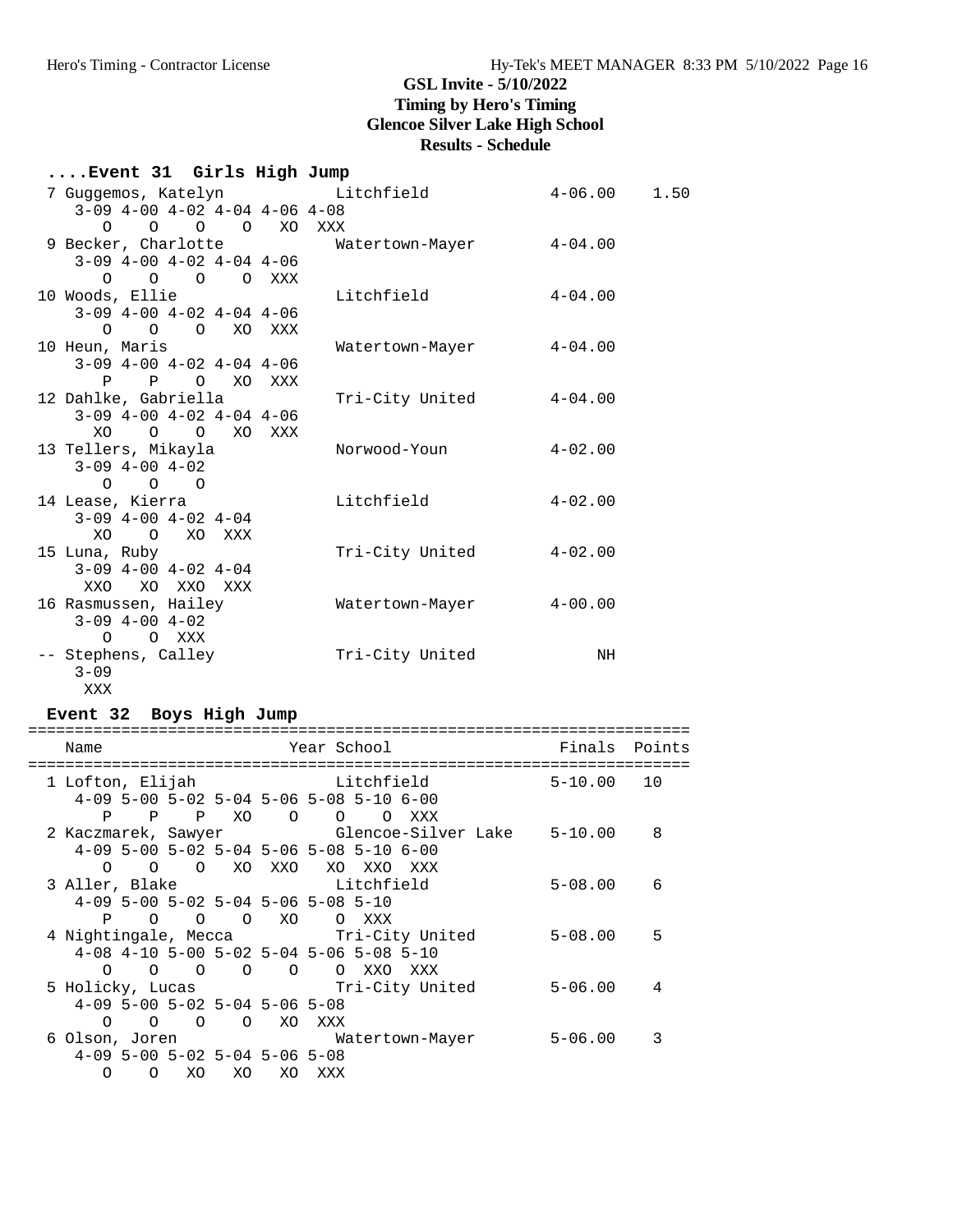# **....Event 31 Girls High Jump**

| 7 Guggemos, Katelyn                       | Litchfield              | $4 - 06.00$           | 1.50 |
|-------------------------------------------|-------------------------|-----------------------|------|
| $3-09$ $4-00$ $4-02$ $4-04$ $4-06$ $4-08$ |                         |                       |      |
| 0 0 0 0 XO XXX                            |                         |                       |      |
| 9 Becker, Charlotte                       | Watertown-Mayer 4-04.00 |                       |      |
| $3-09$ $4-00$ $4-02$ $4-04$ $4-06$        |                         |                       |      |
| 0 0 0 0 XXX                               |                         |                       |      |
| 10 Woods, Ellie                           | Litchfield              | $4 - 04.00$           |      |
| $3-09$ $4-00$ $4-02$ $4-04$ $4-06$        |                         |                       |      |
| O O O XO XXX                              |                         |                       |      |
| 10 Heun, Maris                            | Watertown-Mayer         | $4\hbox{--}04$ . $00$ |      |
| $3-09$ 4-00 4-02 4-04 4-06                |                         |                       |      |
| P P O XO XXX                              |                         |                       |      |
| 12 Dahlke, Gabriella                      | Tri-City United         | $4 - 04.00$           |      |
| $3-09$ $4-00$ $4-02$ $4-04$ $4-06$        |                         |                       |      |
| XO<br>O O XO XXX                          |                         |                       |      |
| 13 Tellers, Mikayla                       | Norwood-Youn            | $4 - 02.00$           |      |
| $3-09$ $4-00$ $4-02$                      |                         |                       |      |
| $0\qquad 0\qquad 0$                       |                         |                       |      |
| 14 Lease, Kierra                          | Litchfield              | $4 - 02.00$           |      |
| $3-09$ $4-00$ $4-02$ $4-04$               |                         |                       |      |
| XO O XO XXX                               |                         |                       |      |
| 15 Luna, Ruby                             | Tri-City United         | $4 - 02.00$           |      |
| $3-09$ $4-00$ $4-02$ $4-04$               |                         |                       |      |
| XXO XO XXO XXX                            |                         |                       |      |
| 16 Rasmussen, Hailey                      | Watertown-Mayer         | $4\hbox{--}00$ . $00$ |      |
| $3-09$ $4-00$ $4-02$                      |                         |                       |      |
| O XXX<br>$\Omega$                         |                         |                       |      |
| -- Stephens, Calley                       | Tri-City United         | NH                    |      |
| $3 - 09$                                  |                         |                       |      |
| XXX                                       |                         |                       |      |

### **Event 32 Boys High Jump**

| Name                                 |          |                                                     |         |     | Year School |                                           |                                      | Finals Points                                   |    |
|--------------------------------------|----------|-----------------------------------------------------|---------|-----|-------------|-------------------------------------------|--------------------------------------|-------------------------------------------------|----|
| 1 Lofton, Elijah                     |          |                                                     |         |     |             |                                           | Litchfield                           | $5 - 10.00$ 10                                  |    |
|                                      |          |                                                     |         |     |             | $4-09$ 5-00 5-02 5-04 5-06 5-08 5-10 6-00 |                                      |                                                 |    |
|                                      |          | P P P XO O O                                        |         |     |             | $\circ$                                   | XXX                                  |                                                 |    |
|                                      |          |                                                     |         |     |             |                                           |                                      | 2 Kaczmarek, Sawyer Glencoe-Silver Lake 5-10.00 | 8  |
|                                      |          |                                                     |         |     |             | $4-09$ 5-00 5-02 5-04 5-06 5-08 5-10 6-00 |                                      |                                                 |    |
| $\Omega$                             |          | O O XO XXO                                          |         |     |             | XO XXO XXX                                |                                      |                                                 |    |
| 3 Aller, Blake Litchfield            |          |                                                     |         |     |             |                                           |                                      | $5 - 08.00$                                     | 6  |
| $4-09$ 5-00 5-02 5-04 5-06 5-08 5-10 |          |                                                     |         |     |             |                                           |                                      |                                                 |    |
| P                                    |          | $\begin{matrix} 0 & 0 & 0 & \text{X0} \end{matrix}$ |         |     | O XXX       |                                           |                                      |                                                 |    |
|                                      |          |                                                     |         |     |             |                                           | 4 Nightingale, Mecca Tri-City United | $5 - 08.00$                                     | .5 |
|                                      |          |                                                     |         |     |             | 4-08 4-10 5-00 5-02 5-04 5-06 5-08 5-10   |                                      |                                                 |    |
|                                      |          |                                                     |         |     |             | 0 0 0 0 0 0 XXO XXX                       |                                      |                                                 |    |
|                                      |          |                                                     |         |     |             |                                           | 5 Holicky, Lucas Tri-City United     | $5 - 06.00$                                     | 4  |
|                                      |          | $4-09$ 5-00 5-02 5-04 5-06 5-08                     |         |     |             |                                           |                                      |                                                 |    |
| $\Omega$                             | $\Omega$ | $\Omega$                                            | $\circ$ | XO. | XXX         |                                           |                                      |                                                 |    |
| 6 Olson, Joren                       |          |                                                     |         |     |             |                                           | Watertown-Mayer                      | $5 - 06.00$                                     | 3  |
|                                      |          | $4-09$ 5-00 5-02 5-04 5-06 5-08                     |         |     |             |                                           |                                      |                                                 |    |
| $\Omega$                             | $\Omega$ | XO.                                                 | XO.     | XO. | XXX         |                                           |                                      |                                                 |    |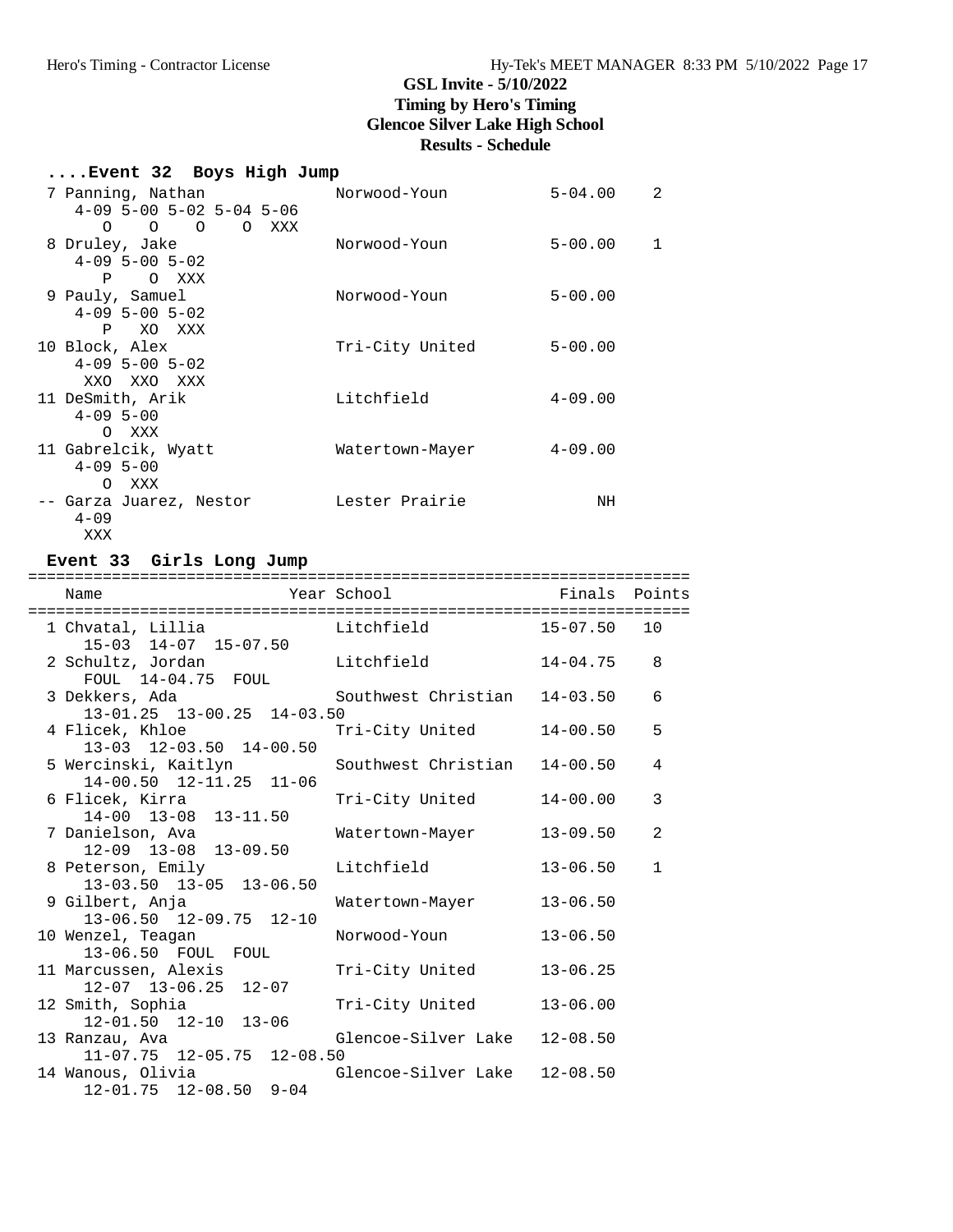# **....Event 32 Boys High Jump**

| 7 Panning, Nathan                                                  | Norwood-Youn    | $5 - 04.00$      | $\overline{2}$ |
|--------------------------------------------------------------------|-----------------|------------------|----------------|
| $4-09$ 5-00 5-02 5-04 5-06<br>$\circ$ $\circ$<br>$\Omega$<br>O XXX |                 |                  |                |
| 8 Druley, Jake                                                     | Norwood-Youn    | $5 - 00.00$<br>1 |                |
| $4 - 09$ 5 - 00 5 - 02                                             |                 |                  |                |
| P O XXX                                                            |                 |                  |                |
| 9 Pauly, Samuel                                                    | Norwood-Youn    | $5 - 00.00$      |                |
| $4 - 09$ 5 - 00 5 - 02<br>XO XXX<br>P —                            |                 |                  |                |
| 10 Block, Alex                                                     | Tri-City United | $5 - 00.00$      |                |
| $4 - 09$ 5 - 00 5 - 02                                             |                 |                  |                |
| XXO XXO XXX                                                        |                 |                  |                |
| 11 DeSmith, Arik                                                   | Litchfield      | $4 - 09.00$      |                |
| $4 - 09$ 5-00                                                      |                 |                  |                |
| O XXX                                                              |                 |                  |                |
| 11 Gabrelcik, Wyatt<br>$4 - 09$ 5-00                               | Watertown-Mayer | $4 - 09.00$      |                |
| XXX<br>$\Omega$                                                    |                 |                  |                |
| -- Garza Juarez, Nestor                                            | Lester Prairie  | NH               |                |
| $4 - 09$                                                           |                 |                  |                |
| XXX                                                                |                 |                  |                |

### **Event 33 Girls Long Jump**

| Name                                                                                      | Year School         | Finals Points |              |
|-------------------------------------------------------------------------------------------|---------------------|---------------|--------------|
| 15-03 14-07 15-07.50                                                                      |                     |               | 10           |
| 2 Schultz, Jordan Chitchfield 14-04.75<br>FOUL 14-04.75 FOUL                              |                     |               | 8            |
| 3 Dekkers, Ada               Southwest Christian   14-03.50<br>13-01.25 13-00.25 14-03.50 |                     |               | 6            |
| 4 Flicek, Khloe<br>13-03 12-03.50 14-00.50                                                | Tri-City United     | 14-00.50      | 5            |
| 5 Wercinski, Kaitlyn<br>14-00.50 12-11.25 11-06                                           |                     | 14-00.50      | 4            |
| 6 Flicek, Kirra<br>$14-00$ $13-08$ $13-11.50$                                             | Tri-City United     | $14 - 00.00$  | 3            |
| 7 Danielson, Ava<br>12-09 13-08 13-09.50                                                  | Watertown-Mayer     | 13-09.50      | 2            |
| 8 Peterson, Emily<br>13-03.50 13-05 13-06.50                                              | Litchfield          | $13 - 06.50$  | $\mathbf{1}$ |
| 9 Gilbert, Anja<br>13-06.50 12-09.75 12-10                                                | Watertown-Mayer     | $13 - 06.50$  |              |
| 10 Wenzel, Teagan<br>13-06.50 FOUL FOUL                                                   | Norwood-Youn        | $13 - 06.50$  |              |
| 11 Marcussen, Alexis<br>$12-07$ $13-06.25$ $12-07$                                        | Tri-City United     | $13 - 06.25$  |              |
| 12 Smith, Sophia<br>12-01.50 12-10 13-06                                                  | Tri-City United     | $13 - 06.00$  |              |
| 13 Ranzau, Ava<br>11-07.75 12-05.75 12-08.50                                              | Glencoe-Silver Lake | $12 - 08.50$  |              |
| 14 Wanous, Olivia<br>$12-01.75$ $12-08.50$ $9-04$                                         | Glencoe-Silver Lake | $12 - 08.50$  |              |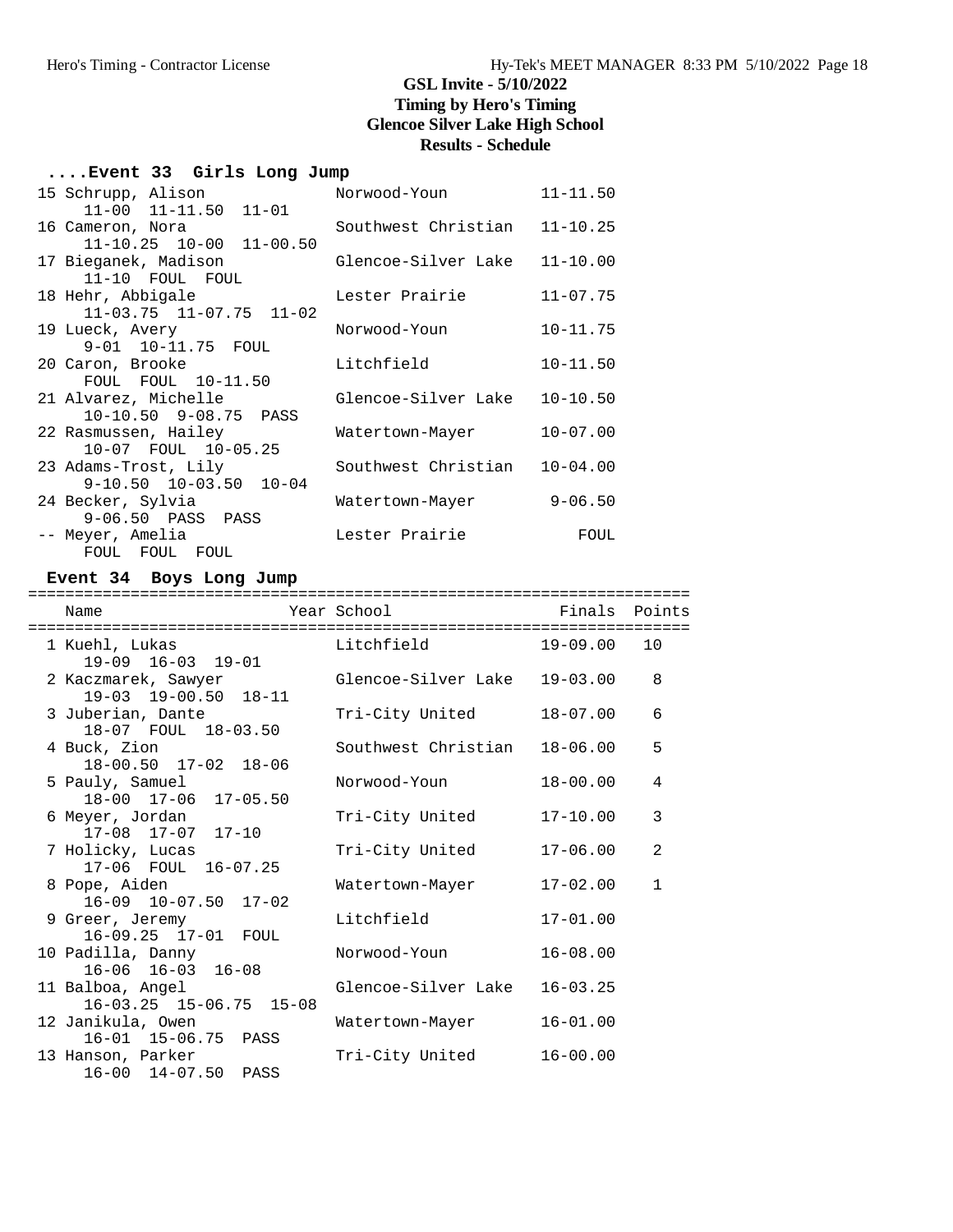### **....Event 33 Girls Long Jump**

| 15 Schrupp, Alison            | Norwood-Youn        | $11 - 11.50$ |
|-------------------------------|---------------------|--------------|
| $11-00$ $11-11.50$ $11-01$    |                     |              |
| 16 Cameron, Nora              | Southwest Christian | $11 - 10.25$ |
| $11-10.25$ $10-00$ $11-00.50$ |                     |              |
| 17 Bieganek, Madison          | Glencoe-Silver Lake | $11 - 10.00$ |
| 11-10 FOUL FOUL               |                     |              |
| 18 Hehr, Abbigale             | Lester Prairie      | $11 - 07.75$ |
| $11-03.75$ $11-07.75$ $11-02$ |                     |              |
| 19 Lueck, Avery               | Norwood-Youn        | $10 - 11.75$ |
| 9-01 10-11.75 FOUL            |                     |              |
| 20 Caron, Brooke              | Litchfield          | $10 - 11.50$ |
| FOUL FOUL 10-11.50            |                     |              |
| 21 Alvarez, Michelle          | Glencoe-Silver Lake | $10 - 10.50$ |
| 10-10.50 9-08.75 PASS         |                     |              |
| 22 Rasmussen, Hailey          | Watertown-Mayer     | $10 - 07.00$ |
| 10-07 FOUL 10-05.25           |                     |              |
| 23 Adams-Trost, Lily          | Southwest Christian | $10 - 04.00$ |
| $9-10.50$ $10-03.50$ $10-04$  |                     |              |
| 24 Becker, Sylvia             | Watertown-Mayer     | $9 - 06.50$  |
| 9-06.50 PASS PASS             |                     |              |
| -- Meyer, Amelia              | Lester Prairie      | FOUL         |
| FOUL FOUL FOUL                |                     |              |

### **Event 34 Boys Long Jump**

| Name<br>==================================        | Year School<br>==================================  | Finals Points |                |
|---------------------------------------------------|----------------------------------------------------|---------------|----------------|
| 1 Kuehl, Lukas<br>$19-09$ $16-03$ $19-01$         | Exercise in the Litchfield State of the Litchfield | 19-09.00      | 10             |
| 2 Kaczmarek, Sawyer<br>19-03 19-00.50 18-11       | Glencoe-Silver Lake                                | $19 - 03.00$  | 8              |
| 3 Juberian, Dante<br>18-07 FOUL 18-03.50          | Tri-City United                                    | $18 - 07.00$  | 6              |
| 4 Buck, Zion<br>18-00.50 17-02 18-06              | Southwest Christian                                | $18 - 06.00$  | 5              |
| 5 Pauly, Samuel<br>18-00 17-06 17-05.50           | Norwood-Youn                                       | $18 - 00.00$  | 4              |
| 6 Meyer, Jordan<br>$17-08$ $17-07$ $17-10$        | Tri-City United                                    | $17 - 10.00$  | 3              |
| 7 Holicky, Lucas<br>17-06 FOUL 16-07.25           | Tri-City United                                    | $17 - 06.00$  | $\mathfrak{D}$ |
| 8 Pope, Aiden<br>$16-09$ $10-07.50$ $17-02$       | Watertown-Mayer                                    | $17 - 02.00$  | $\mathbf{1}$   |
| 9 Greer, Jeremy<br>16-09.25 17-01 FOUL            | Litchfield                                         | $17 - 01.00$  |                |
| 10 Padilla, Danny<br>$16-06$ $16-03$ $16-08$      | Norwood-Youn                                       | $16 - 08.00$  |                |
| 11 Balboa, Angel<br>$16-03.25$ $15-06.75$ $15-08$ | Glencoe-Silver Lake                                | $16 - 03.25$  |                |
| 12 Janikula, Owen<br>16-01 15-06.75 PASS          | Watertown-Mayer                                    | $16 - 01.00$  |                |
| 13 Hanson, Parker<br>16-00 14-07.50 PASS          | Tri-City United                                    | $16 - 00.00$  |                |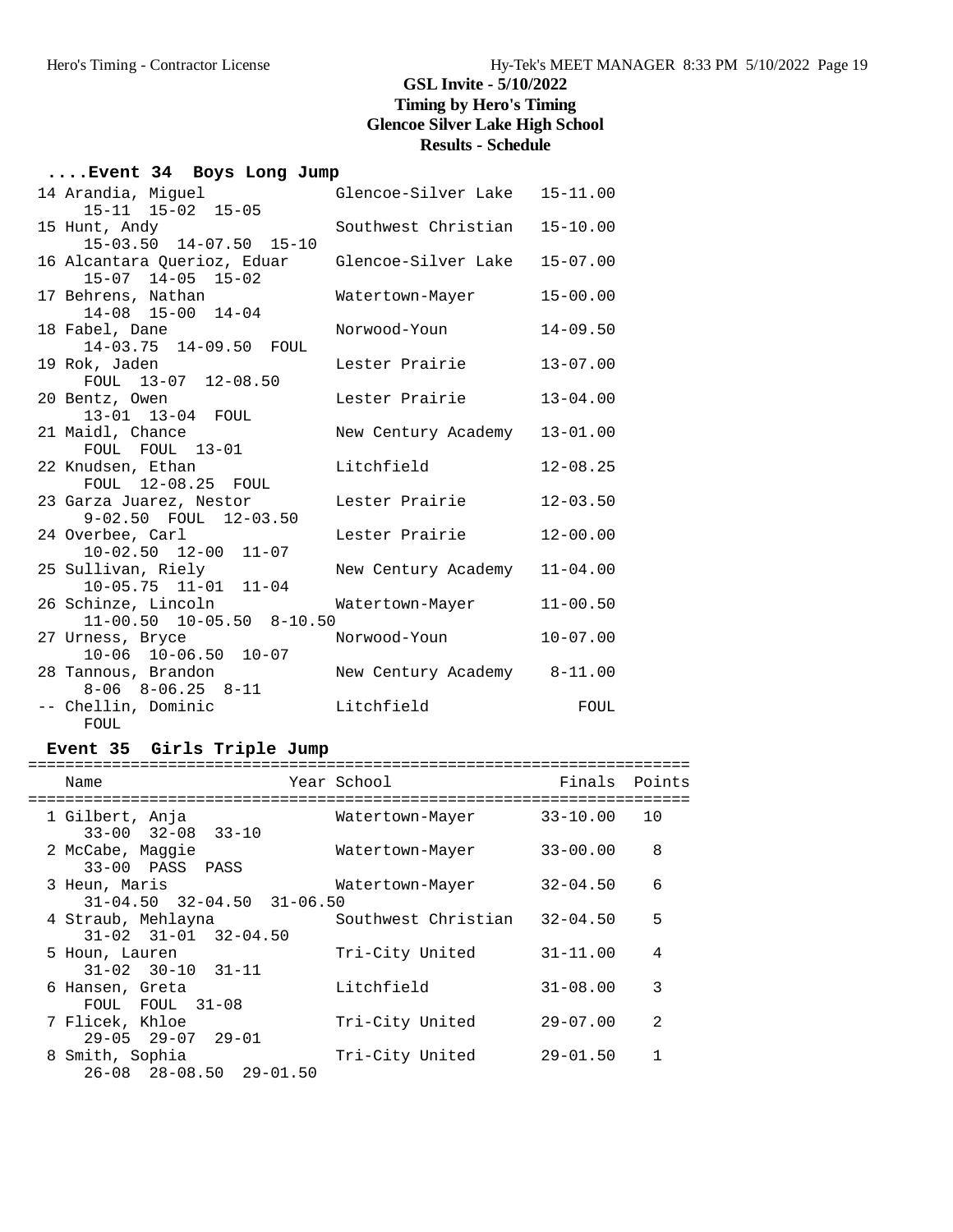# **....Event 34 Boys Long Jump**

| 14 Arandia, Miguel<br>15-11 15-02 15-05                | Glencoe-Silver Lake 15-11.00 |              |
|--------------------------------------------------------|------------------------------|--------------|
| 15 Hunt, Andy<br>15-03.50 14-07.50 15-10               | Southwest Christian          | $15 - 10.00$ |
| 16 Alcantara Querioz, Eduar<br>$15-07$ $14-05$ $15-02$ | Glencoe-Silver Lake          | $15 - 07.00$ |
| 17 Behrens, Nathan<br>14-08 15-00 14-04                | Watertown-Mayer              | $15 - 00.00$ |
| 18 Fabel, Dane<br>14-03.75 14-09.50 FOUL               | Norwood-Youn                 | $14 - 09.50$ |
| 19 Rok, Jaden<br>FOUL 13-07 12-08.50                   | Lester Prairie               | $13 - 07.00$ |
| 20 Bentz, Owen<br>13-01 13-04 FOUL                     | Lester Prairie               | $13 - 04.00$ |
| 21 Maidl, Chance<br>FOUL FOUL 13-01                    | New Century Academy          | $13 - 01.00$ |
| 22 Knudsen, Ethan<br>FOUL 12-08.25 FOUL                | Litchfield                   | $12 - 08.25$ |
| 23 Garza Juarez, Nestor<br>9-02.50 FOUL 12-03.50       | Lester Prairie               | $12 - 03.50$ |
| 24 Overbee, Carl<br>10-02.50 12-00 11-07               | Lester Prairie               | $12 - 00.00$ |
| 25 Sullivan, Riely<br>$10-05.75$ $11-01$ $11-04$       | New Century Academy          | $11 - 04.00$ |
| 26 Schinze, Lincoln<br>$11-00.50$ $10-05.50$ $8-10.50$ | Watertown-Mayer              | $11 - 00.50$ |
| 27 Urness, Bryce<br>$10-06$ $10-06.50$ $10-07$         | Norwood-Youn                 | $10 - 07.00$ |
| 28 Tannous, Brandon<br>8-06 8-06.25 8-11               | New Century Academy 8-11.00  |              |
| -- Chellin, Dominic<br>FOUL                            | Litchfield                   | FOUL         |

### **Event 35 Girls Triple Jump**

| Name                                                   | Year School         | Finals       | Points         |
|--------------------------------------------------------|---------------------|--------------|----------------|
| 1 Gilbert, Anja<br>$33 - 00$ $32 - 08$ $33 - 10$       | Watertown-Mayer     | $33 - 10.00$ | 10             |
| 2 McCabe, Maggie<br>33-00 PASS PASS                    | Watertown-Mayer     | $33 - 00.00$ | 8              |
| 3 Heun, Maris<br>$31-04.50$ $32-04.50$ $31-06.50$      | Watertown-Mayer     | $32 - 04.50$ | 6              |
| 4 Straub, Mehlayna<br>$31 - 02$ $31 - 01$ $32 - 04.50$ | Southwest Christian | $32 - 04.50$ | 5              |
| 5 Houn, Lauren<br>$31 - 02$ $30 - 10$ $31 - 11$        | Tri-City United     | $31 - 11.00$ | 4              |
| 6 Hansen, Greta<br>FOUL FOUL 31-08                     | Litchfield          | $31 - 08.00$ | 3              |
| 7 Flicek, Khloe<br>$29 - 05$ $29 - 07$ $29 - 01$       | Tri-City United     | $29 - 07.00$ | $\mathfrak{D}$ |
| 8 Smith, Sophia<br>$26 - 08$ $28 - 08.50$ $29 - 01.50$ | Tri-City United     | $29 - 01.50$ |                |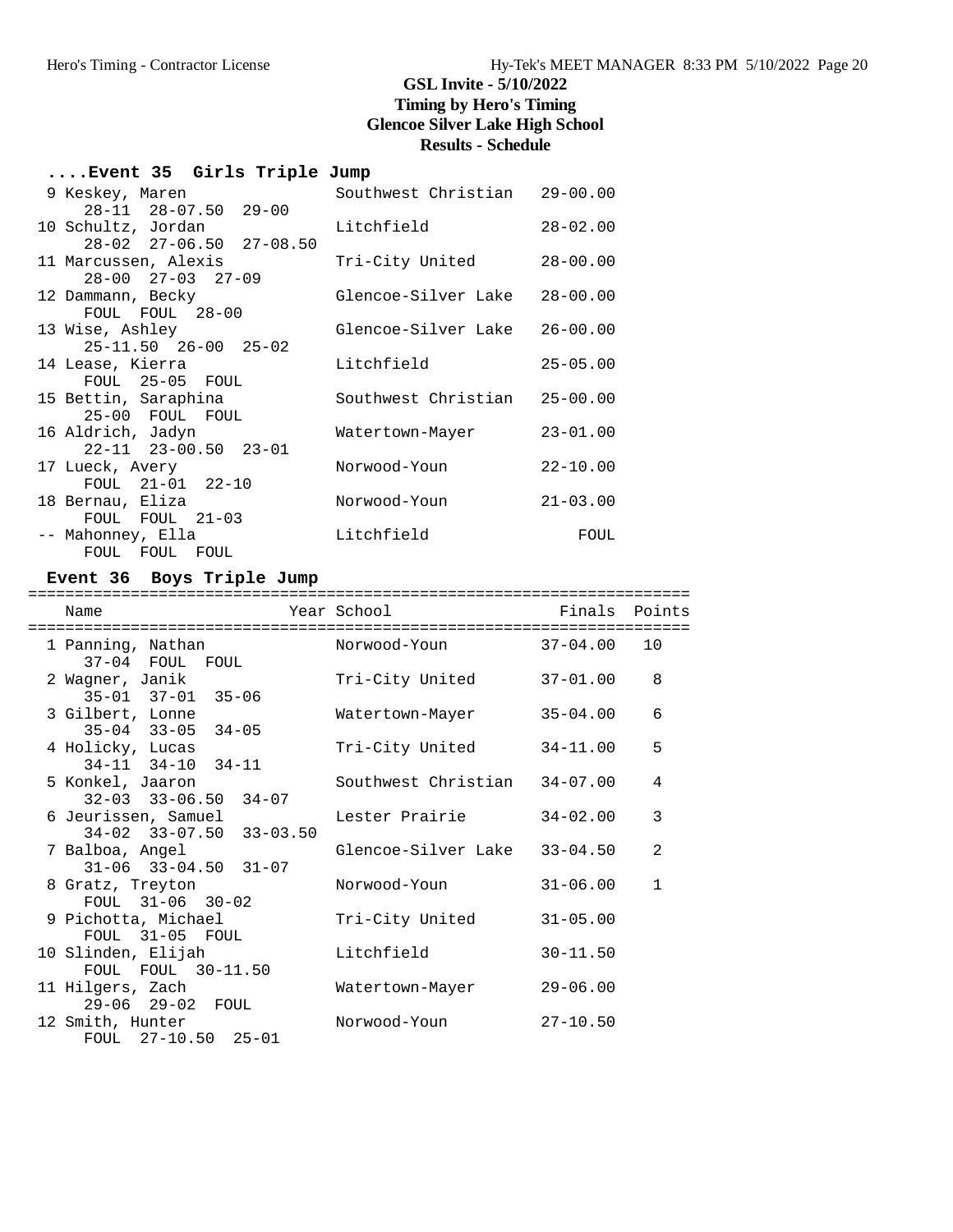# **....Event 35 Girls Triple Jump**

| 9 Keskey, Maren                         | Southwest Christian 29-00.00 |              |
|-----------------------------------------|------------------------------|--------------|
| $28 - 11$ $28 - 07.50$ $29 - 00$        |                              |              |
| 10 Schultz, Jordan                      | Litchfield                   | $28 - 02.00$ |
| $28 - 02$ $27 - 06.50$ $27 - 08.50$     |                              |              |
| 11 Marcussen, Alexis                    | Tri-City United              | $28 - 00.00$ |
| $28 - 00$ $27 - 03$ $27 - 09$           |                              |              |
| 12 Dammann, Becky                       | Glencoe-Silver Lake          | $28 - 00.00$ |
| FOUL FOUL 28-00                         |                              |              |
| 13 Wise, Ashley                         | Glencoe-Silver Lake          | $26 - 00.00$ |
| $25 - 11.50$ $26 - 00$ $25 - 02$        |                              |              |
| 14 Lease, Kierra                        | Litchfield                   | $25 - 05.00$ |
| FOUL 25-05 FOUL                         | Southwest Christian 25-00.00 |              |
| 15 Bettin, Saraphina<br>25-00 FOUL FOUL |                              |              |
| 16 Aldrich, Jadyn                       | Watertown-Mayer              | $23 - 01.00$ |
| $22 - 11$ $23 - 00.50$ $23 - 01$        |                              |              |
| 17 Lueck, Avery                         | Norwood-Youn                 | $22 - 10.00$ |
| FOUL 21-01 22-10                        |                              |              |
| 18 Bernau, Eliza                        | Norwood-Youn                 | $21 - 03.00$ |
| FOUL FOUL 21-03                         |                              |              |
| -- Mahonney, Ella                       | Litchfield                   | FOUL         |
| FOUL FOUL FOUL                          |                              |              |

# **Event 36 Boys Triple Jump**

| Name                                                 | Year School         | Finals Points |              |
|------------------------------------------------------|---------------------|---------------|--------------|
| 1 Panning, Nathan<br>37-04 FOUL FOUL                 | Norwood-Youn        | 37-04.00      | 10           |
| 2 Waqner, Janik<br>$35 - 01$ $37 - 01$ $35 - 06$     | Tri-City United     | 37-01.00      | 8            |
| 3 Gilbert, Lonne<br>$35-04$ $33-05$ $34-05$          | Watertown-Mayer     | $35 - 04.00$  | 6            |
| 4 Holicky, Lucas<br>$34-11$ $34-10$ $34-11$          | Tri-City United     | $34 - 11.00$  | 5            |
| 5 Konkel, Jaaron<br>$32-03$ $33-06.50$ $34-07$       | Southwest Christian | $34 - 07.00$  | 4            |
| 6 Jeurissen, Samuel<br>$34-02$ $33-07.50$ $33-03.50$ | Lester Prairie      | $34 - 02.00$  | 3            |
| 7 Balboa, Angel<br>$31-06$ $33-04.50$ $31-07$        | Glencoe-Silver Lake | $33 - 04.50$  | 2            |
| 8 Gratz, Treyton<br>FOUL $31-06$ $30-02$             | Norwood-Youn        | $31 - 06.00$  | $\mathbf{1}$ |
| 9 Pichotta, Michael<br>FOUL 31-05 FOUL               | Tri-City United     | $31 - 05.00$  |              |
| 10 Slinden, Elijah<br>FOUL FOUL 30-11.50             | Litchfield          | $30 - 11.50$  |              |
| 11 Hilgers, Zach<br>29-06 29-02 FOUL                 | Watertown-Mayer     | $29 - 06.00$  |              |
| 12 Smith, Hunter<br>FOUL $27-10.50$ $25-01$          | Norwood-Youn        | $27 - 10.50$  |              |